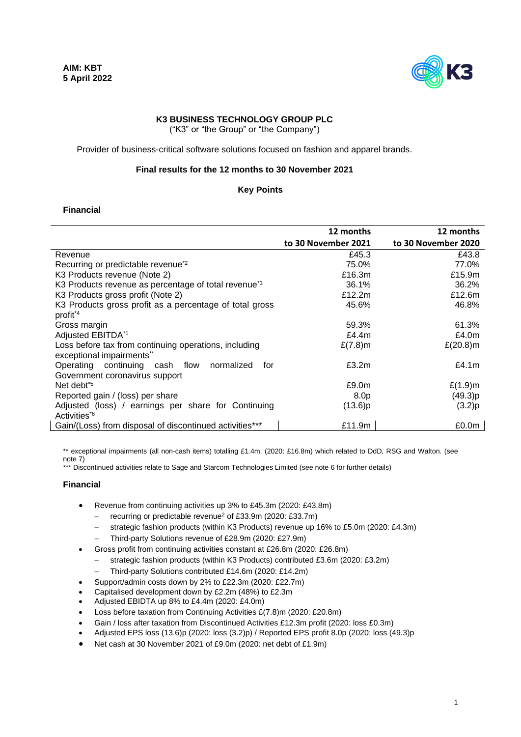

# **K3 BUSINESS TECHNOLOGY GROUP PLC**

("K3" or "the Group" or "the Company")

Provider of business-critical software solutions focused on fashion and apparel brands.

#### **Final results for the 12 months to 30 November 2021**

#### **Key Points**

# **Financial**

|                                                                                    | 12 months           | 12 months           |
|------------------------------------------------------------------------------------|---------------------|---------------------|
|                                                                                    | to 30 November 2021 | to 30 November 2020 |
| Revenue                                                                            | £45.3               | £43.8               |
| Recurring or predictable revenue <sup>*2</sup>                                     | 75.0%               | 77.0%               |
| K3 Products revenue (Note 2)                                                       | £16.3m              | £15.9m              |
| K3 Products revenue as percentage of total revenue <sup>*3</sup>                   | 36.1%               | 36.2%               |
| K3 Products gross profit (Note 2)                                                  | £12.2m              | £12.6m              |
| K3 Products gross profit as a percentage of total gross<br>profit <sup>*4</sup>    | 45.6%               | 46.8%               |
| Gross margin                                                                       | 59.3%               | 61.3%               |
| Adjusted EBITDA*1                                                                  | £4.4 $m$            | £4.0 $m$            |
| Loss before tax from continuing operations, including<br>exceptional impairments** | $£(7.8)$ m          | $£(20.8)$ m         |
| Operating continuing cash flow normalized<br>for<br>Government coronavirus support | £3.2m               | £4.1 $m$            |
| Net debt <sup>*5</sup>                                                             | £9.0 <sub>m</sub>   | $£(1.9)$ m          |
| Reported gain / (loss) per share                                                   | 8.0p                | (49.3)p             |
| Adjusted (loss) / earnings per share for Continuing<br>Activities <sup>*6</sup>    | (13.6)p             | (3.2)p              |
| Gain/(Loss) from disposal of discontinued activities***                            | £11.9m              | £0.0m               |

\*\* exceptional impairments (all non-cash items) totalling £1.4m, (2020: £16.8m) which related to DdD, RSG and Walton. (see note 7)

\*\*\* Discontinued activities relate to Sage and Starcom Technologies Limited (see note 6 for further details)

#### **Financial**

- Revenue from continuing activities up 3% to £45.3m (2020: £43.8m)
	- − recurring or predictable revenue<sup>2</sup> of £33.9m (2020: £33.7m)
	- strategic fashion products (within K3 Products) revenue up 16% to £5.0m (2020: £4.3m)
	- − Third-party Solutions revenue of £28.9m (2020: £27.9m)
- Gross profit from continuing activities constant at £26.8m (2020: £26.8m)
	- strategic fashion products (within K3 Products) contributed £3.6m (2020: £3.2m)
	- − Third-party Solutions contributed £14.6m (2020: £14.2m)
- Support/admin costs down by 2% to £22.3m (2020: £22.7m)
- Capitalised development down by £2.2m (48%) to £2.3m
- Adjusted EBIDTA up 8% to £4.4m (2020: £4.0m)
- Loss before taxation from Continuing Activities £(7.8)m (2020: £20.8m)
- Gain / loss after taxation from Discontinued Activities £12.3m profit (2020: loss £0.3m)
- Adjusted EPS loss (13.6)p (2020: loss (3.2)p) / Reported EPS profit 8.0p (2020: loss (49.3)p
- Net cash at 30 November 2021 of £9.0m (2020: net debt of £1.9m)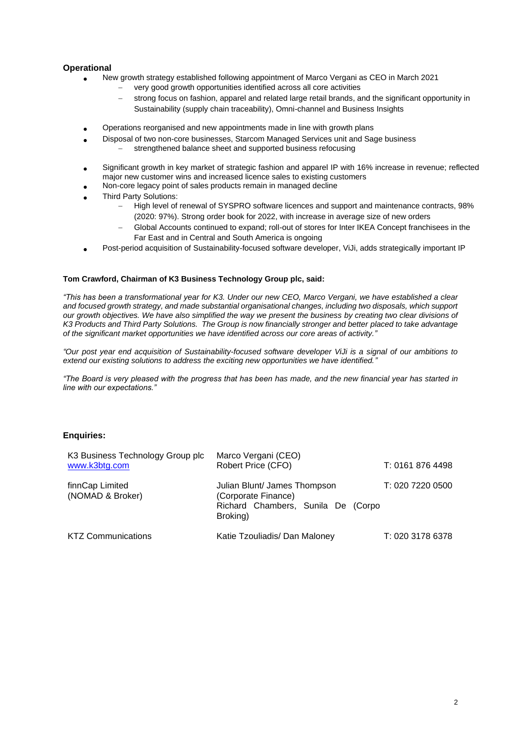# **Operational**

- New growth strategy established following appointment of Marco Vergani as CEO in March 2021
	- very good growth opportunities identified across all core activities
	- strong focus on fashion, apparel and related large retail brands, and the significant opportunity in Sustainability (supply chain traceability), Omni-channel and Business Insights
- Operations reorganised and new appointments made in line with growth plans
	- Disposal of two non-core businesses, Starcom Managed Services unit and Sage business strengthened balance sheet and supported business refocusing
- Significant growth in key market of strategic fashion and apparel IP with 16% increase in revenue; reflected major new customer wins and increased licence sales to existing customers
- Non-core legacy point of sales products remain in managed decline
- Third Party Solutions:
	- − High level of renewal of SYSPRO software licences and support and maintenance contracts, 98% (2020: 97%). Strong order book for 2022, with increase in average size of new orders
	- Global Accounts continued to expand; roll-out of stores for Inter IKEA Concept franchisees in the Far East and in Central and South America is ongoing
- Post-period acquisition of Sustainability-focused software developer, ViJi, adds strategically important IP

#### **Tom Crawford, Chairman of K3 Business Technology Group plc, said:**

*"This has been a transformational year for K3. Under our new CEO, Marco Vergani, we have established a clear and focused growth strategy, and made substantial organisational changes, including two disposals, which support our growth objectives. We have also simplified the way we present the business by creating two clear divisions of K3 Products and Third Party Solutions. The Group is now financially stronger and better placed to take advantage of the significant market opportunities we have identified across our core areas of activity."*

*"Our post year end acquisition of Sustainability-focused software developer ViJi is a signal of our ambitions to extend our existing solutions to address the exciting new opportunities we have identified."*

*"The Board is very pleased with the progress that has been has made, and the new financial year has started in line with our expectations."*

# **Enquiries:**

| K3 Business Technology Group plc<br>www.k3btg.com | Marco Vergani (CEO)<br>Robert Price (CFO)                                                             | T: 0161 876 4498 |
|---------------------------------------------------|-------------------------------------------------------------------------------------------------------|------------------|
| finnCap Limited<br>(NOMAD & Broker)               | Julian Blunt/ James Thompson<br>(Corporate Finance)<br>Richard Chambers, Sunila De (Corpo<br>Broking) | T: 020 7220 0500 |
| <b>KTZ Communications</b>                         | Katie Tzouliadis/ Dan Maloney                                                                         | T: 020 3178 6378 |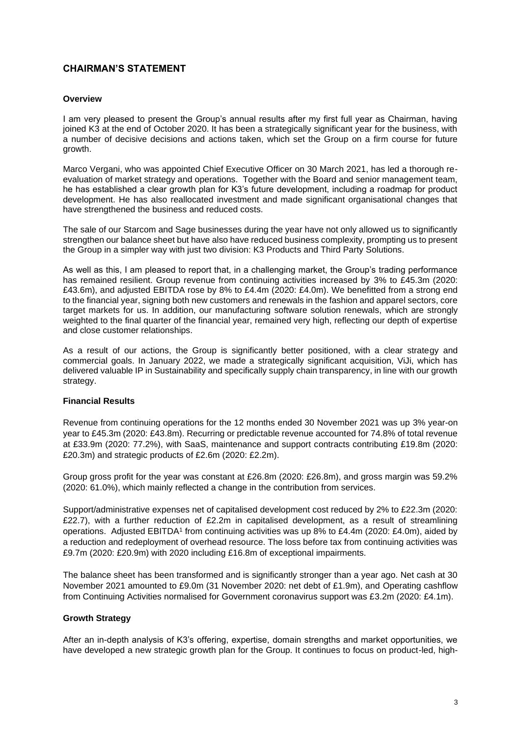# **CHAIRMAN'S STATEMENT**

#### **Overview**

I am very pleased to present the Group's annual results after my first full year as Chairman, having joined K3 at the end of October 2020. It has been a strategically significant year for the business, with a number of decisive decisions and actions taken, which set the Group on a firm course for future growth.

Marco Vergani, who was appointed Chief Executive Officer on 30 March 2021, has led a thorough reevaluation of market strategy and operations. Together with the Board and senior management team, he has established a clear growth plan for K3's future development, including a roadmap for product development. He has also reallocated investment and made significant organisational changes that have strengthened the business and reduced costs.

The sale of our Starcom and Sage businesses during the year have not only allowed us to significantly strengthen our balance sheet but have also have reduced business complexity, prompting us to present the Group in a simpler way with just two division: K3 Products and Third Party Solutions.

As well as this, I am pleased to report that, in a challenging market, the Group's trading performance has remained resilient. Group revenue from continuing activities increased by 3% to £45.3m (2020: £43.6m), and adjusted EBITDA rose by 8% to £4.4m (2020: £4.0m). We benefitted from a strong end to the financial year, signing both new customers and renewals in the fashion and apparel sectors, core target markets for us. In addition, our manufacturing software solution renewals, which are strongly weighted to the final quarter of the financial year, remained very high, reflecting our depth of expertise and close customer relationships.

As a result of our actions, the Group is significantly better positioned, with a clear strategy and commercial goals. In January 2022, we made a strategically significant acquisition, ViJi, which has delivered valuable IP in Sustainability and specifically supply chain transparency, in line with our growth strategy.

#### **Financial Results**

Revenue from continuing operations for the 12 months ended 30 November 2021 was up 3% year-on year to £45.3m (2020: £43.8m). Recurring or predictable revenue accounted for 74.8% of total revenue at £33.9m (2020: 77.2%), with SaaS, maintenance and support contracts contributing £19.8m (2020: £20.3m) and strategic products of £2.6m (2020: £2.2m).

Group gross profit for the year was constant at £26.8m (2020: £26.8m), and gross margin was 59.2% (2020: 61.0%), which mainly reflected a change in the contribution from services.

Support/administrative expenses net of capitalised development cost reduced by 2% to £22.3m (2020: £22.7), with a further reduction of £2.2m in capitalised development, as a result of streamlining operations. Adjusted EBITDA<sup>1</sup> from continuing activities was up 8% to £4.4m (2020: £4.0m), aided by a reduction and redeployment of overhead resource. The loss before tax from continuing activities was £9.7m (2020: £20.9m) with 2020 including £16.8m of exceptional impairments.

The balance sheet has been transformed and is significantly stronger than a year ago. Net cash at 30 November 2021 amounted to £9.0m (31 November 2020: net debt of £1.9m), and Operating cashflow from Continuing Activities normalised for Government coronavirus support was £3.2m (2020: £4.1m).

#### **Growth Strategy**

After an in-depth analysis of K3's offering, expertise, domain strengths and market opportunities, we have developed a new strategic growth plan for the Group. It continues to focus on product-led, high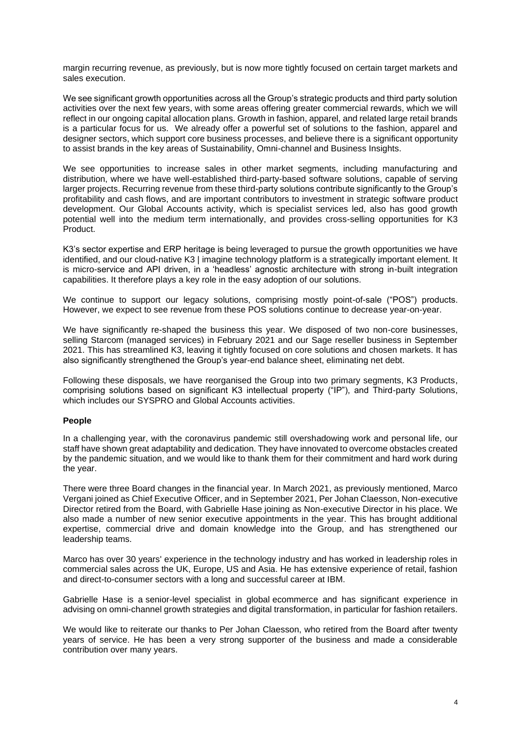margin recurring revenue, as previously, but is now more tightly focused on certain target markets and sales execution.

We see significant growth opportunities across all the Group's strategic products and third party solution activities over the next few years, with some areas offering greater commercial rewards, which we will reflect in our ongoing capital allocation plans. Growth in fashion, apparel, and related large retail brands is a particular focus for us. We already offer a powerful set of solutions to the fashion, apparel and designer sectors, which support core business processes, and believe there is a significant opportunity to assist brands in the key areas of Sustainability, Omni-channel and Business Insights.

We see opportunities to increase sales in other market segments, including manufacturing and distribution, where we have well-established third-party-based software solutions, capable of serving larger projects. Recurring revenue from these third-party solutions contribute significantly to the Group's profitability and cash flows, and are important contributors to investment in strategic software product development. Our Global Accounts activity, which is specialist services led, also has good growth potential well into the medium term internationally, and provides cross-selling opportunities for K3 **Product** 

K3's sector expertise and ERP heritage is being leveraged to pursue the growth opportunities we have identified, and our cloud-native K3 | imagine technology platform is a strategically important element. It is micro-service and API driven, in a 'headless' agnostic architecture with strong in-built integration capabilities. It therefore plays a key role in the easy adoption of our solutions.

We continue to support our legacy solutions, comprising mostly point-of-sale ("POS") products. However, we expect to see revenue from these POS solutions continue to decrease year-on-year.

We have significantly re-shaped the business this year. We disposed of two non-core businesses, selling Starcom (managed services) in February 2021 and our Sage reseller business in September 2021. This has streamlined K3, leaving it tightly focused on core solutions and chosen markets. It has also significantly strengthened the Group's year-end balance sheet, eliminating net debt.

Following these disposals, we have reorganised the Group into two primary segments, K3 Products, comprising solutions based on significant K3 intellectual property ("IP"), and Third-party Solutions, which includes our SYSPRO and Global Accounts activities.

#### **People**

In a challenging year, with the coronavirus pandemic still overshadowing work and personal life, our staff have shown great adaptability and dedication. They have innovated to overcome obstacles created by the pandemic situation, and we would like to thank them for their commitment and hard work during the year.

There were three Board changes in the financial year. In March 2021, as previously mentioned, Marco Vergani joined as Chief Executive Officer, and in September 2021, Per Johan Claesson, Non-executive Director retired from the Board, with Gabrielle Hase joining as Non-executive Director in his place. We also made a number of new senior executive appointments in the year. This has brought additional expertise, commercial drive and domain knowledge into the Group, and has strengthened our leadership teams.

Marco has over 30 years' experience in the technology industry and has worked in leadership roles in commercial sales across the UK, Europe, US and Asia. He has extensive experience of retail, fashion and direct-to-consumer sectors with a long and successful career at IBM.

Gabrielle Hase is a senior-level specialist in global ecommerce and has significant experience in advising on omni-channel growth strategies and digital transformation, in particular for fashion retailers.

We would like to reiterate our thanks to Per Johan Claesson, who retired from the Board after twenty years of service. He has been a very strong supporter of the business and made a considerable contribution over many years.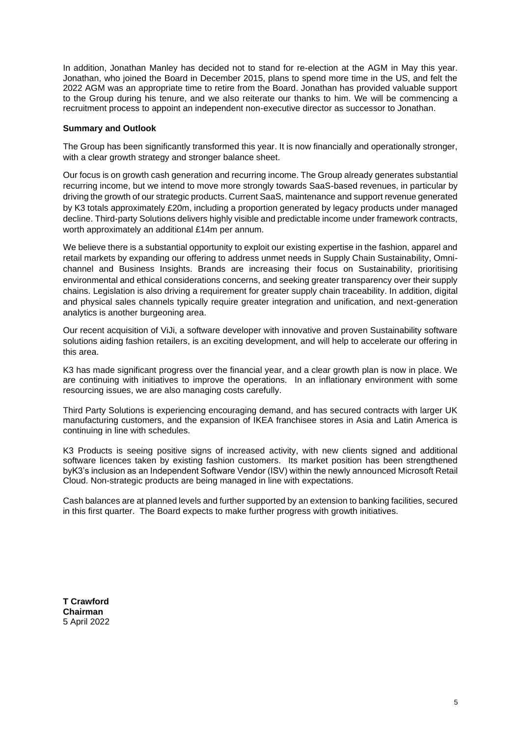In addition, Jonathan Manley has decided not to stand for re-election at the AGM in May this year. Jonathan, who joined the Board in December 2015, plans to spend more time in the US, and felt the 2022 AGM was an appropriate time to retire from the Board. Jonathan has provided valuable support to the Group during his tenure, and we also reiterate our thanks to him. We will be commencing a recruitment process to appoint an independent non-executive director as successor to Jonathan.

# **Summary and Outlook**

The Group has been significantly transformed this year. It is now financially and operationally stronger, with a clear growth strategy and stronger balance sheet.

Our focus is on growth cash generation and recurring income. The Group already generates substantial recurring income, but we intend to move more strongly towards SaaS-based revenues, in particular by driving the growth of our strategic products. Current SaaS, maintenance and support revenue generated by K3 totals approximately £20m, including a proportion generated by legacy products under managed decline. Third-party Solutions delivers highly visible and predictable income under framework contracts, worth approximately an additional £14m per annum.

We believe there is a substantial opportunity to exploit our existing expertise in the fashion, apparel and retail markets by expanding our offering to address unmet needs in Supply Chain Sustainability, Omnichannel and Business Insights. Brands are increasing their focus on Sustainability, prioritising environmental and ethical considerations concerns, and seeking greater transparency over their supply chains. Legislation is also driving a requirement for greater supply chain traceability. In addition, digital and physical sales channels typically require greater integration and unification, and next-generation analytics is another burgeoning area.

Our recent acquisition of ViJi, a software developer with innovative and proven Sustainability software solutions aiding fashion retailers, is an exciting development, and will help to accelerate our offering in this area.

K3 has made significant progress over the financial year, and a clear growth plan is now in place. We are continuing with initiatives to improve the operations. In an inflationary environment with some resourcing issues, we are also managing costs carefully.

Third Party Solutions is experiencing encouraging demand, and has secured contracts with larger UK manufacturing customers, and the expansion of IKEA franchisee stores in Asia and Latin America is continuing in line with schedules.

K3 Products is seeing positive signs of increased activity, with new clients signed and additional software licences taken by existing fashion customers. Its market position has been strengthened byK3's inclusion as an Independent Software Vendor (ISV) within the newly announced Microsoft Retail Cloud. Non-strategic products are being managed in line with expectations.

Cash balances are at planned levels and further supported by an extension to banking facilities, secured in this first quarter. The Board expects to make further progress with growth initiatives.

**T Crawford Chairman** 5 April 2022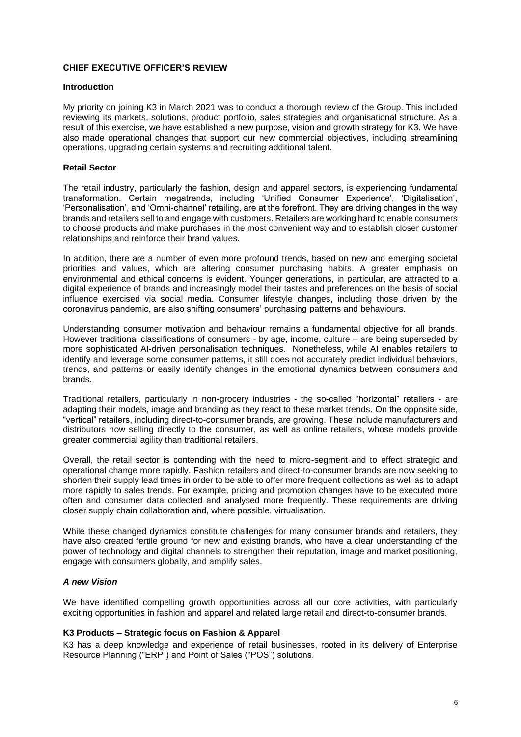# **CHIEF EXECUTIVE OFFICER'S REVIEW**

#### **Introduction**

My priority on joining K3 in March 2021 was to conduct a thorough review of the Group. This included reviewing its markets, solutions, product portfolio, sales strategies and organisational structure. As a result of this exercise, we have established a new purpose, vision and growth strategy for K3. We have also made operational changes that support our new commercial objectives, including streamlining operations, upgrading certain systems and recruiting additional talent.

# **Retail Sector**

The retail industry, particularly the fashion, design and apparel sectors, is experiencing fundamental transformation. Certain megatrends, including 'Unified Consumer Experience', 'Digitalisation', 'Personalisation', and 'Omni-channel' retailing, are at the forefront. They are driving changes in the way brands and retailers sell to and engage with customers. Retailers are working hard to enable consumers to choose products and make purchases in the most convenient way and to establish closer customer relationships and reinforce their brand values.

In addition, there are a number of even more profound trends, based on new and emerging societal priorities and values, which are altering consumer purchasing habits. A greater emphasis on environmental and ethical concerns is evident. Younger generations, in particular, are attracted to a digital experience of brands and increasingly model their tastes and preferences on the basis of social influence exercised via social media. Consumer lifestyle changes, including those driven by the coronavirus pandemic, are also shifting consumers' purchasing patterns and behaviours.

Understanding consumer motivation and behaviour remains a fundamental objective for all brands. However traditional classifications of consumers - by age, income, culture – are being superseded by more sophisticated AI-driven personalisation techniques. Nonetheless, while AI enables retailers to identify and leverage some consumer patterns, it still does not accurately predict individual behaviors, trends, and patterns or easily identify changes in the emotional dynamics between consumers and brands.

Traditional retailers, particularly in non-grocery industries - the so-called "horizontal" retailers - are adapting their models, image and branding as they react to these market trends. On the opposite side, "vertical" retailers, including direct-to-consumer brands, are growing. These include manufacturers and distributors now selling directly to the consumer, as well as online retailers, whose models provide greater commercial agility than traditional retailers.

Overall, the retail sector is contending with the need to micro-segment and to effect strategic and operational change more rapidly. Fashion retailers and direct-to-consumer brands are now seeking to shorten their supply lead times in order to be able to offer more frequent collections as well as to adapt more rapidly to sales trends. For example, pricing and promotion changes have to be executed more often and consumer data collected and analysed more frequently. These requirements are driving closer supply chain collaboration and, where possible, virtualisation.

While these changed dynamics constitute challenges for many consumer brands and retailers, they have also created fertile ground for new and existing brands, who have a clear understanding of the power of technology and digital channels to strengthen their reputation, image and market positioning, engage with consumers globally, and amplify sales.

# *A new Vision*

We have identified compelling growth opportunities across all our core activities, with particularly exciting opportunities in fashion and apparel and related large retail and direct-to-consumer brands.

#### **K3 Products – Strategic focus on Fashion & Apparel**

K3 has a deep knowledge and experience of retail businesses, rooted in its delivery of Enterprise Resource Planning ("ERP") and Point of Sales ("POS") solutions.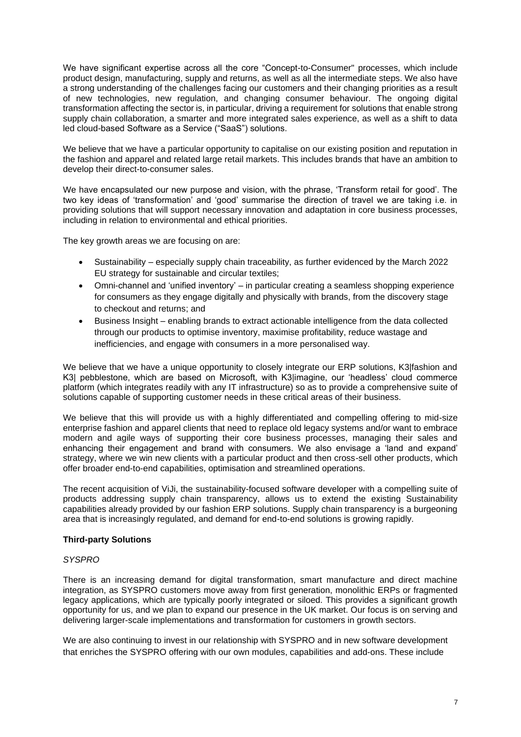We have significant expertise across all the core "Concept-to-Consumer" processes, which include product design, manufacturing, supply and returns, as well as all the intermediate steps. We also have a strong understanding of the challenges facing our customers and their changing priorities as a result of new technologies, new regulation, and changing consumer behaviour. The ongoing digital transformation affecting the sector is, in particular, driving a requirement for solutions that enable strong supply chain collaboration, a smarter and more integrated sales experience, as well as a shift to data led cloud-based Software as a Service ("SaaS") solutions.

We believe that we have a particular opportunity to capitalise on our existing position and reputation in the fashion and apparel and related large retail markets. This includes brands that have an ambition to develop their direct-to-consumer sales.

We have encapsulated our new purpose and vision, with the phrase, 'Transform retail for good'. The two key ideas of 'transformation' and 'good' summarise the direction of travel we are taking i.e. in providing solutions that will support necessary innovation and adaptation in core business processes, including in relation to environmental and ethical priorities.

The key growth areas we are focusing on are:

- Sustainability especially supply chain traceability, as further evidenced by the March 2022 EU strategy for sustainable and circular textiles;
- Omni-channel and 'unified inventory' in particular creating a seamless shopping experience for consumers as they engage digitally and physically with brands, from the discovery stage to checkout and returns; and
- Business Insight enabling brands to extract actionable intelligence from the data collected through our products to optimise inventory, maximise profitability, reduce wastage and inefficiencies, and engage with consumers in a more personalised way.

We believe that we have a unique opportunity to closely integrate our ERP solutions, K3|fashion and K3| pebblestone, which are based on Microsoft, with K3|imagine, our 'headless' cloud commerce platform (which integrates readily with any IT infrastructure) so as to provide a comprehensive suite of solutions capable of supporting customer needs in these critical areas of their business.

We believe that this will provide us with a highly differentiated and compelling offering to mid-size enterprise fashion and apparel clients that need to replace old legacy systems and/or want to embrace modern and agile ways of supporting their core business processes, managing their sales and enhancing their engagement and brand with consumers. We also envisage a 'land and expand' strategy, where we win new clients with a particular product and then cross-sell other products, which offer broader end-to-end capabilities, optimisation and streamlined operations.

The recent acquisition of ViJi, the sustainability-focused software developer with a compelling suite of products addressing supply chain transparency, allows us to extend the existing Sustainability capabilities already provided by our fashion ERP solutions. Supply chain transparency is a burgeoning area that is increasingly regulated, and demand for end-to-end solutions is growing rapidly.

# **Third-party Solutions**

# *SYSPRO*

There is an increasing demand for digital transformation, smart manufacture and direct machine integration, as SYSPRO customers move away from first generation, monolithic ERPs or fragmented legacy applications, which are typically poorly integrated or siloed. This provides a significant growth opportunity for us, and we plan to expand our presence in the UK market. Our focus is on serving and delivering larger-scale implementations and transformation for customers in growth sectors.

We are also continuing to invest in our relationship with SYSPRO and in new software development that enriches the SYSPRO offering with our own modules, capabilities and add-ons. These include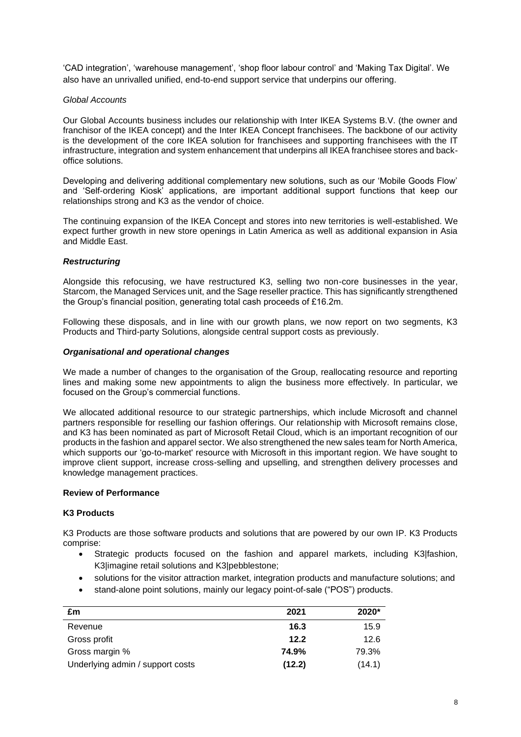'CAD integration', 'warehouse management', 'shop floor labour control' and 'Making Tax Digital'. We also have an unrivalled unified, end-to-end support service that underpins our offering.

# *Global Accounts*

Our Global Accounts business includes our relationship with Inter IKEA Systems B.V. (the owner and franchisor of the IKEA concept) and the Inter IKEA Concept franchisees. The backbone of our activity is the development of the core IKEA solution for franchisees and supporting franchisees with the IT infrastructure, integration and system enhancement that underpins all IKEA franchisee stores and backoffice solutions.

Developing and delivering additional complementary new solutions, such as our 'Mobile Goods Flow' and 'Self-ordering Kiosk' applications, are important additional support functions that keep our relationships strong and K3 as the vendor of choice.

The continuing expansion of the IKEA Concept and stores into new territories is well-established. We expect further growth in new store openings in Latin America as well as additional expansion in Asia and Middle East.

# *Restructuring*

Alongside this refocusing, we have restructured K3, selling two non-core businesses in the year, Starcom, the Managed Services unit, and the Sage reseller practice. This has significantly strengthened the Group's financial position, generating total cash proceeds of £16.2m.

Following these disposals, and in line with our growth plans, we now report on two segments, K3 Products and Third-party Solutions, alongside central support costs as previously.

#### *Organisational and operational changes*

We made a number of changes to the organisation of the Group, reallocating resource and reporting lines and making some new appointments to align the business more effectively. In particular, we focused on the Group's commercial functions.

We allocated additional resource to our strategic partnerships, which include Microsoft and channel partners responsible for reselling our fashion offerings. Our relationship with Microsoft remains close, and K3 has been nominated as part of Microsoft Retail Cloud, which is an important recognition of our products in the fashion and apparel sector. We also strengthened the new sales team for North America, which supports our 'go-to-market' resource with Microsoft in this important region. We have sought to improve client support, increase cross-selling and upselling, and strengthen delivery processes and knowledge management practices.

# **Review of Performance**

# **K3 Products**

K3 Products are those software products and solutions that are powered by our own IP. K3 Products comprise:

- Strategic products focused on the fashion and apparel markets, including K3|fashion, K3|imagine retail solutions and K3|pebblestone;
- solutions for the visitor attraction market, integration products and manufacture solutions; and
- stand-alone point solutions, mainly our legacy point-of-sale ("POS") products.

| £m                               | 2021   | 2020*  |
|----------------------------------|--------|--------|
| Revenue                          | 16.3   | 15.9   |
| Gross profit                     | 12.2   | 12.6   |
| Gross margin %                   | 74.9%  | 79.3%  |
| Underlying admin / support costs | (12.2) | (14.1) |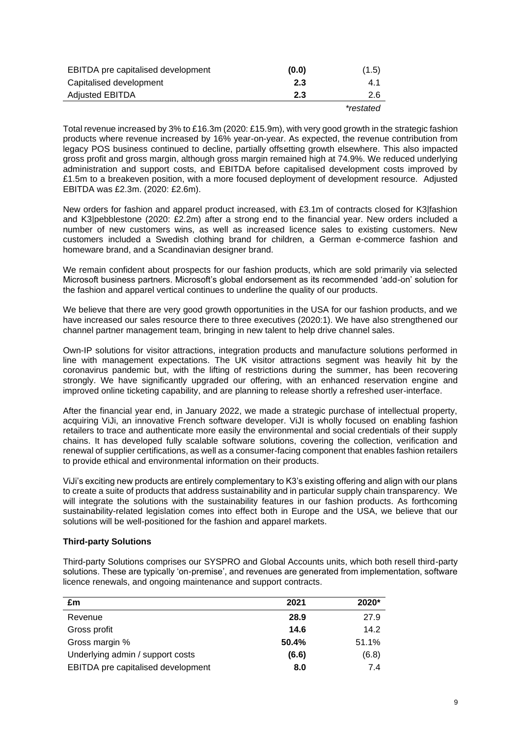| EBITDA pre capitalised development | (0.0) | (1.5)     |
|------------------------------------|-------|-----------|
| Capitalised development            | 2.3   | 4.1       |
| <b>Adjusted EBITDA</b>             | 2.3   | 2.6       |
|                                    |       | *restated |

Total revenue increased by 3% to £16.3m (2020: £15.9m), with very good growth in the strategic fashion products where revenue increased by 16% year-on-year. As expected, the revenue contribution from legacy POS business continued to decline, partially offsetting growth elsewhere. This also impacted gross profit and gross margin, although gross margin remained high at 74.9%. We reduced underlying administration and support costs, and EBITDA before capitalised development costs improved by £1.5m to a breakeven position, with a more focused deployment of development resource. Adjusted EBITDA was £2.3m. (2020: £2.6m).

New orders for fashion and apparel product increased, with £3.1m of contracts closed for K3|fashion and K3|pebblestone (2020: £2.2m) after a strong end to the financial year. New orders included a number of new customers wins, as well as increased licence sales to existing customers. New customers included a Swedish clothing brand for children, a German e-commerce fashion and homeware brand, and a Scandinavian designer brand.

We remain confident about prospects for our fashion products, which are sold primarily via selected Microsoft business partners. Microsoft's global endorsement as its recommended 'add-on' solution for the fashion and apparel vertical continues to underline the quality of our products.

We believe that there are very good growth opportunities in the USA for our fashion products, and we have increased our sales resource there to three executives (2020:1). We have also strengthened our channel partner management team, bringing in new talent to help drive channel sales.

Own-IP solutions for visitor attractions, integration products and manufacture solutions performed in line with management expectations. The UK visitor attractions segment was heavily hit by the coronavirus pandemic but, with the lifting of restrictions during the summer, has been recovering strongly. We have significantly upgraded our offering, with an enhanced reservation engine and improved online ticketing capability, and are planning to release shortly a refreshed user-interface.

After the financial year end, in January 2022, we made a strategic purchase of intellectual property, acquiring ViJi, an innovative French software developer. ViJI is wholly focused on enabling fashion retailers to trace and authenticate more easily the environmental and social credentials of their supply chains. It has developed fully scalable software solutions, covering the collection, verification and renewal of supplier certifications, as well as a consumer-facing component that enables fashion retailers to provide ethical and environmental information on their products.

ViJi's exciting new products are entirely complementary to K3's existing offering and align with our plans to create a suite of products that address sustainability and in particular supply chain transparency. We will integrate the solutions with the sustainability features in our fashion products. As forthcoming sustainability-related legislation comes into effect both in Europe and the USA, we believe that our solutions will be well-positioned for the fashion and apparel markets.

# **Third-party Solutions**

Third-party Solutions comprises our SYSPRO and Global Accounts units, which both resell third-party solutions. These are typically 'on-premise', and revenues are generated from implementation, software licence renewals, and ongoing maintenance and support contracts.

| £m                                 | 2021  | 2020* |
|------------------------------------|-------|-------|
| Revenue                            | 28.9  | 27.9  |
| Gross profit                       | 14.6  | 14.2  |
| Gross margin %                     | 50.4% | 51.1% |
| Underlying admin / support costs   | (6.6) | (6.8) |
| EBITDA pre capitalised development | 8.0   | 7.4   |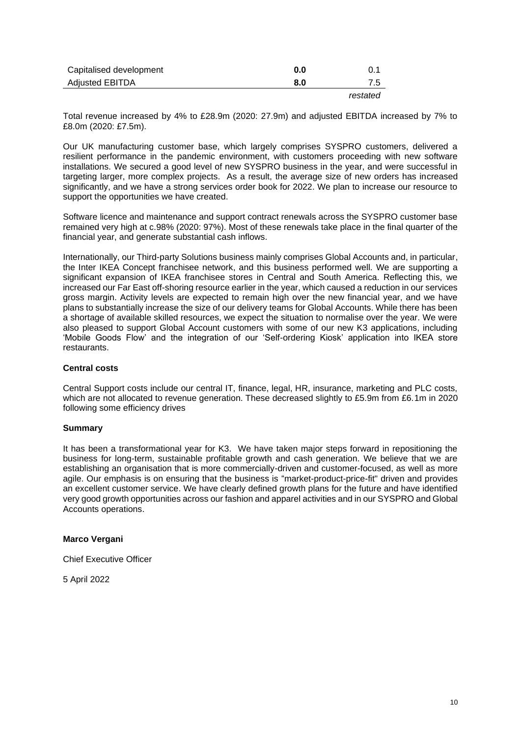| Capitalised development | 0.0 | 0.1      |
|-------------------------|-----|----------|
| Adjusted EBITDA         | 8.0 | 7.5      |
|                         |     | restated |

Total revenue increased by 4% to £28.9m (2020: 27.9m) and adjusted EBITDA increased by 7% to £8.0m (2020: £7.5m).

Our UK manufacturing customer base, which largely comprises SYSPRO customers, delivered a resilient performance in the pandemic environment, with customers proceeding with new software installations. We secured a good level of new SYSPRO business in the year, and were successful in targeting larger, more complex projects. As a result, the average size of new orders has increased significantly, and we have a strong services order book for 2022. We plan to increase our resource to support the opportunities we have created.

Software licence and maintenance and support contract renewals across the SYSPRO customer base remained very high at c.98% (2020: 97%). Most of these renewals take place in the final quarter of the financial year, and generate substantial cash inflows.

Internationally, our Third-party Solutions business mainly comprises Global Accounts and, in particular, the Inter IKEA Concept franchisee network, and this business performed well. We are supporting a significant expansion of IKEA franchisee stores in Central and South America. Reflecting this, we increased our Far East off-shoring resource earlier in the year, which caused a reduction in our services gross margin. Activity levels are expected to remain high over the new financial year, and we have plans to substantially increase the size of our delivery teams for Global Accounts. While there has been a shortage of available skilled resources, we expect the situation to normalise over the year. We were also pleased to support Global Account customers with some of our new K3 applications, including 'Mobile Goods Flow' and the integration of our 'Self-ordering Kiosk' application into IKEA store restaurants.

#### **Central costs**

Central Support costs include our central IT, finance, legal, HR, insurance, marketing and PLC costs, which are not allocated to revenue generation. These decreased slightly to £5.9m from £6.1m in 2020 following some efficiency drives

#### **Summary**

It has been a transformational year for K3. We have taken major steps forward in repositioning the business for long-term, sustainable profitable growth and cash generation. We believe that we are establishing an organisation that is more commercially-driven and customer-focused, as well as more agile. Our emphasis is on ensuring that the business is "market-product-price-fit" driven and provides an excellent customer service. We have clearly defined growth plans for the future and have identified very good growth opportunities across our fashion and apparel activities and in our SYSPRO and Global Accounts operations.

#### **Marco Vergani**

Chief Executive Officer

5 April 2022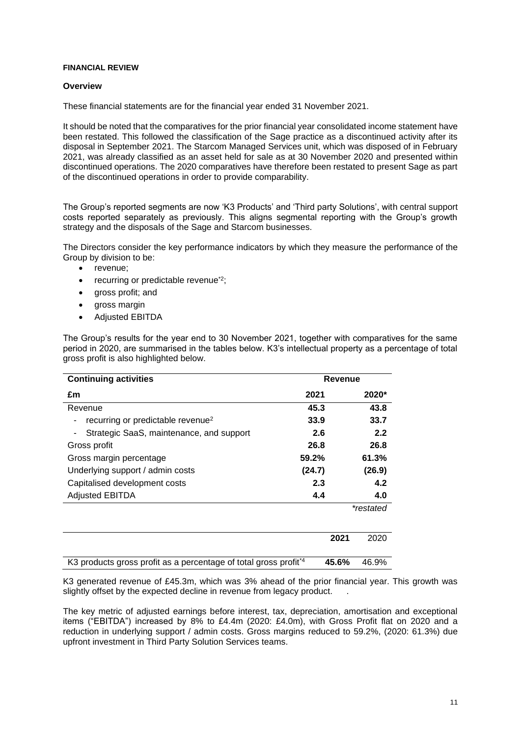#### **FINANCIAL REVIEW**

# **Overview**

These financial statements are for the financial year ended 31 November 2021.

It should be noted that the comparatives for the prior financial year consolidated income statement have been restated. This followed the classification of the Sage practice as a discontinued activity after its disposal in September 2021. The Starcom Managed Services unit, which was disposed of in February 2021, was already classified as an asset held for sale as at 30 November 2020 and presented within discontinued operations. The 2020 comparatives have therefore been restated to present Sage as part of the discontinued operations in order to provide comparability.

The Group's reported segments are now 'K3 Products' and 'Third party Solutions', with central support costs reported separately as previously. This aligns segmental reporting with the Group's growth strategy and the disposals of the Sage and Starcom businesses.

The Directors consider the key performance indicators by which they measure the performance of the Group by division to be:

- revenue;
- recurring or predictable revenue<sup>\*2</sup>;
- aross profit; and
- gross margin
- Adjusted EBITDA

The Group's results for the year end to 30 November 2021, together with comparatives for the same period in 2020, are summarised in the tables below. K3's intellectual property as a percentage of total gross profit is also highlighted below.

| <b>Continuing activities</b>                                                | Revenue |           |
|-----------------------------------------------------------------------------|---------|-----------|
| £m                                                                          | 2021    | 2020*     |
| Revenue                                                                     | 45.3    | 43.8      |
| recurring or predictable revenue <sup>2</sup>                               | 33.9    | 33.7      |
| Strategic SaaS, maintenance, and support                                    | 2.6     | 2.2       |
| Gross profit                                                                | 26.8    | 26.8      |
| Gross margin percentage                                                     | 59.2%   | 61.3%     |
| Underlying support / admin costs                                            | (24.7)  | (26.9)    |
| Capitalised development costs                                               | 2.3     | 4.2       |
| <b>Adjusted EBITDA</b>                                                      | 4.4     | 4.0       |
|                                                                             |         | *restated |
|                                                                             | 2021    | 2020      |
| K3 products gross profit as a percentage of total gross profit <sup>4</sup> | 45.6%   | 46.9%     |

K3 generated revenue of £45.3m, which was 3% ahead of the prior financial year. This growth was slightly offset by the expected decline in revenue from legacy product.

The key metric of adjusted earnings before interest, tax, depreciation, amortisation and exceptional items ("EBITDA") increased by 8% to £4.4m (2020: £4.0m), with Gross Profit flat on 2020 and a reduction in underlying support / admin costs. Gross margins reduced to 59.2%, (2020: 61.3%) due upfront investment in Third Party Solution Services teams.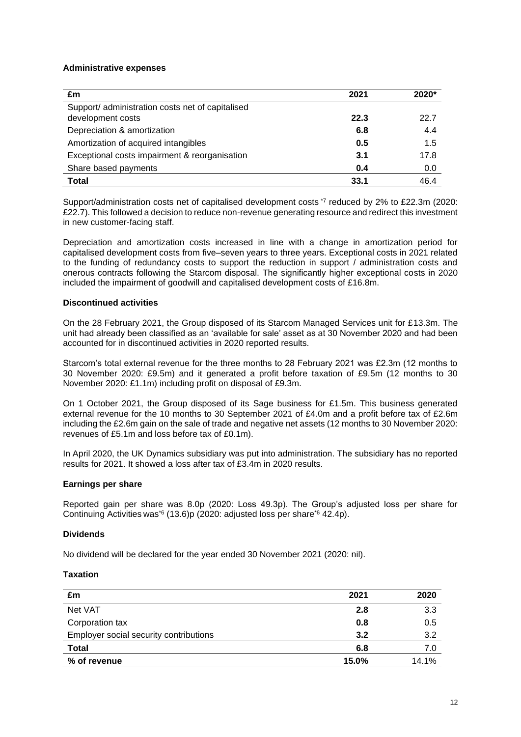#### **Administrative expenses**

| £m                                                                    | 2021 | $2020*$ |
|-----------------------------------------------------------------------|------|---------|
| Support/ administration costs net of capitalised<br>development costs | 22.3 | 22.7    |
| Depreciation & amortization                                           | 6.8  | 4.4     |
| Amortization of acquired intangibles                                  | 0.5  | 1.5     |
| Exceptional costs impairment & reorganisation                         | 3.1  | 17.8    |
| Share based payments                                                  | 0.4  | 0.0     |
| <b>Total</b>                                                          | 33.1 | 46.4    |

Support/administration costs net of capitalised development costs \*7 reduced by 2% to £22.3m (2020: £22.7). This followed a decision to reduce non-revenue generating resource and redirect this investment in new customer-facing staff.

Depreciation and amortization costs increased in line with a change in amortization period for capitalised development costs from five–seven years to three years. Exceptional costs in 2021 related to the funding of redundancy costs to support the reduction in support / administration costs and onerous contracts following the Starcom disposal. The significantly higher exceptional costs in 2020 included the impairment of goodwill and capitalised development costs of £16.8m.

## **Discontinued activities**

On the 28 February 2021, the Group disposed of its Starcom Managed Services unit for £13.3m. The unit had already been classified as an 'available for sale' asset as at 30 November 2020 and had been accounted for in discontinued activities in 2020 reported results.

Starcom's total external revenue for the three months to 28 February 2021 was £2.3m (12 months to 30 November 2020: £9.5m) and it generated a profit before taxation of £9.5m (12 months to 30 November 2020: £1.1m) including profit on disposal of £9.3m.

On 1 October 2021, the Group disposed of its Sage business for £1.5m. This business generated external revenue for the 10 months to 30 September 2021 of £4.0m and a profit before tax of £2.6m including the £2.6m gain on the sale of trade and negative net assets (12 months to 30 November 2020: revenues of £5.1m and loss before tax of £0.1m).

In April 2020, the UK Dynamics subsidiary was put into administration. The subsidiary has no reported results for 2021. It showed a loss after tax of £3.4m in 2020 results.

# **Earnings per share**

Reported gain per share was 8.0p (2020: Loss 49.3p). The Group's adjusted loss per share for Continuing Activities was\*6 (13.6)p (2020: adjusted loss per share\*6 42.4p).

# **Dividends**

No dividend will be declared for the year ended 30 November 2021 (2020: nil).

#### **Taxation**

| £m                                     | 2021  | 2020  |
|----------------------------------------|-------|-------|
| Net VAT                                | 2.8   | 3.3   |
| Corporation tax                        | 0.8   | 0.5   |
| Employer social security contributions | 3.2   | 3.2   |
| <b>Total</b>                           | 6.8   | 7.0   |
| % of revenue                           | 15.0% | 14.1% |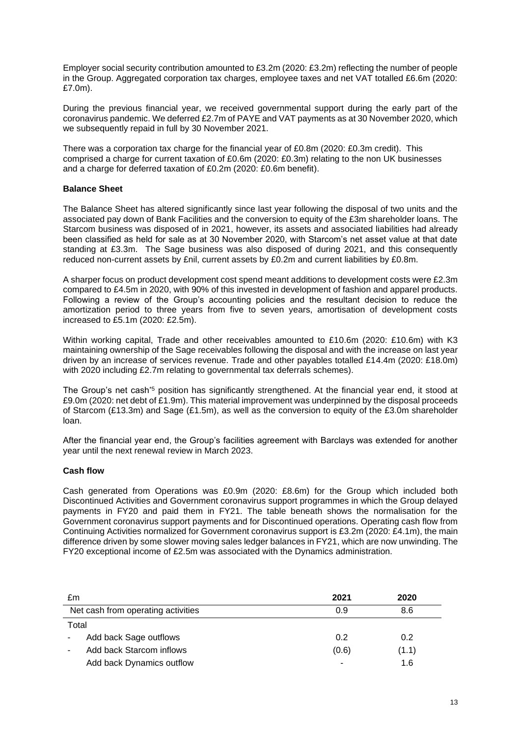Employer social security contribution amounted to £3.2m (2020: £3.2m) reflecting the number of people in the Group. Aggregated corporation tax charges, employee taxes and net VAT totalled £6.6m (2020: £7.0m).

During the previous financial year, we received governmental support during the early part of the coronavirus pandemic. We deferred £2.7m of PAYE and VAT payments as at 30 November 2020, which we subsequently repaid in full by 30 November 2021.

There was a corporation tax charge for the financial year of £0.8m (2020: £0.3m credit). This comprised a charge for current taxation of £0.6m (2020: £0.3m) relating to the non UK businesses and a charge for deferred taxation of £0.2m (2020: £0.6m benefit).

# **Balance Sheet**

The Balance Sheet has altered significantly since last year following the disposal of two units and the associated pay down of Bank Facilities and the conversion to equity of the £3m shareholder loans. The Starcom business was disposed of in 2021, however, its assets and associated liabilities had already been classified as held for sale as at 30 November 2020, with Starcom's net asset value at that date standing at £3.3m. The Sage business was also disposed of during 2021, and this consequently reduced non-current assets by £nil, current assets by £0.2m and current liabilities by £0.8m.

A sharper focus on product development cost spend meant additions to development costs were £2.3m compared to £4.5m in 2020, with 90% of this invested in development of fashion and apparel products. Following a review of the Group's accounting policies and the resultant decision to reduce the amortization period to three years from five to seven years, amortisation of development costs increased to £5.1m (2020: £2.5m).

Within working capital, Trade and other receivables amounted to £10.6m (2020: £10.6m) with K3 maintaining ownership of the Sage receivables following the disposal and with the increase on last year driven by an increase of services revenue. Trade and other payables totalled £14.4m (2020: £18.0m) with 2020 including £2.7m relating to governmental tax deferrals schemes).

The Group's net cash<sup>\*5</sup> position has significantly strengthened. At the financial year end, it stood at £9.0m (2020: net debt of £1.9m). This material improvement was underpinned by the disposal proceeds of Starcom (£13.3m) and Sage (£1.5m), as well as the conversion to equity of the £3.0m shareholder loan.

After the financial year end, the Group's facilities agreement with Barclays was extended for another year until the next renewal review in March 2023.

# **Cash flow**

Cash generated from Operations was £0.9m (2020: £8.6m) for the Group which included both Discontinued Activities and Government coronavirus support programmes in which the Group delayed payments in FY20 and paid them in FY21. The table beneath shows the normalisation for the Government coronavirus support payments and for Discontinued operations. Operating cash flow from Continuing Activities normalized for Government coronavirus support is £3.2m (2020: £4.1m), the main difference driven by some slower moving sales ledger balances in FY21, which are now unwinding. The FY20 exceptional income of £2.5m was associated with the Dynamics administration.

| £m                                 | 2021  | 2020  |
|------------------------------------|-------|-------|
| Net cash from operating activities | 0.9   | 8.6   |
| Total                              |       |       |
| Add back Sage outflows             | 0.2   | 0.2   |
| Add back Starcom inflows           | (0.6) | (1.1) |
| Add back Dynamics outflow          |       | 1.6   |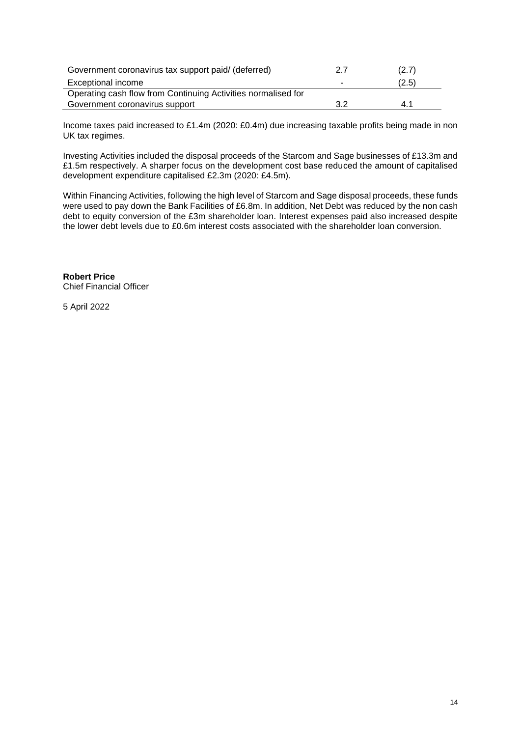| Government coronavirus tax support paid/ (deferred)           | 2.7 | (2.7) |
|---------------------------------------------------------------|-----|-------|
| Exceptional income                                            | ۰   | (2.5) |
| Operating cash flow from Continuing Activities normalised for |     |       |
| Government coronavirus support                                | 3.2 | 41    |

Income taxes paid increased to £1.4m (2020: £0.4m) due increasing taxable profits being made in non UK tax regimes.

Investing Activities included the disposal proceeds of the Starcom and Sage businesses of £13.3m and £1.5m respectively. A sharper focus on the development cost base reduced the amount of capitalised development expenditure capitalised £2.3m (2020: £4.5m).

Within Financing Activities, following the high level of Starcom and Sage disposal proceeds, these funds were used to pay down the Bank Facilities of £6.8m. In addition, Net Debt was reduced by the non cash debt to equity conversion of the £3m shareholder loan. Interest expenses paid also increased despite the lower debt levels due to £0.6m interest costs associated with the shareholder loan conversion.

**Robert Price** Chief Financial Officer

5 April 2022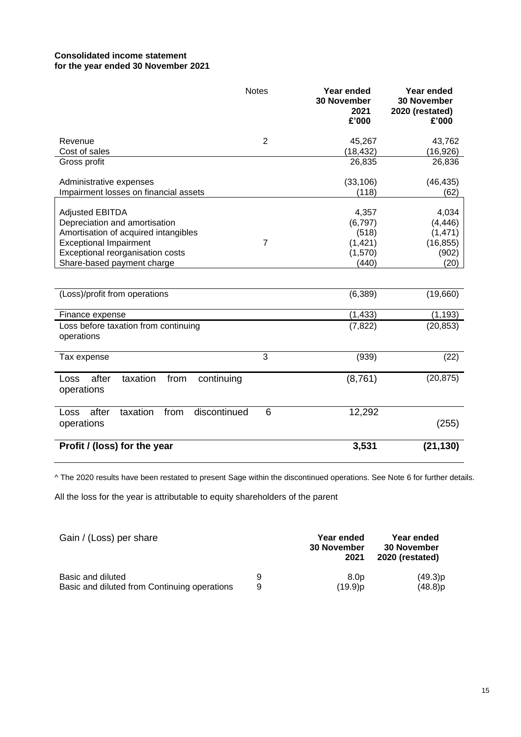# **Consolidated income statement for the year ended 30 November 2021**

|                                                               | <b>Notes</b>   | Year ended<br><b>30 November</b><br>2021<br>£'000 | Year ended<br><b>30 November</b><br>2020 (restated)<br>£'000 |
|---------------------------------------------------------------|----------------|---------------------------------------------------|--------------------------------------------------------------|
| Revenue                                                       | $\overline{2}$ | 45,267                                            | 43,762                                                       |
| Cost of sales                                                 |                | (18, 432)                                         | (16, 926)                                                    |
| Gross profit                                                  |                | 26,835                                            | 26,836                                                       |
| Administrative expenses                                       |                | (33, 106)                                         | (46, 435)                                                    |
| Impairment losses on financial assets                         |                | (118)                                             | (62)                                                         |
|                                                               |                |                                                   |                                                              |
| <b>Adjusted EBITDA</b>                                        |                | 4,357                                             | 4,034                                                        |
| Depreciation and amortisation                                 |                | (6,797)                                           | (4, 446)                                                     |
| Amortisation of acquired intangibles                          |                | (518)                                             | (1, 471)                                                     |
| <b>Exceptional Impairment</b>                                 | $\overline{7}$ | (1, 421)                                          | (16, 855)                                                    |
| Exceptional reorganisation costs                              |                | (1,570)                                           | (902)                                                        |
| Share-based payment charge                                    |                | (440)                                             | (20)                                                         |
| (Loss)/profit from operations                                 |                | (6, 389)                                          | (19,660)                                                     |
| Finance expense                                               |                | (1, 433)                                          | (1, 193)                                                     |
| Loss before taxation from continuing                          |                | (7, 822)                                          | (20, 853)                                                    |
| operations                                                    |                |                                                   |                                                              |
| Tax expense                                                   | 3              | (939)                                             | (22)                                                         |
| after<br>taxation<br>from<br>continuing<br>Loss<br>operations |                | (8,761)                                           | (20, 875)                                                    |
| after<br>discontinued<br>taxation<br>from<br>Loss             | 6              | 12,292                                            |                                                              |
| operations                                                    |                |                                                   | (255)                                                        |
| Profit / (loss) for the year                                  |                | 3,531                                             | (21, 130)                                                    |

^ The 2020 results have been restated to present Sage within the discontinued operations. See Note 6 for further details.

All the loss for the year is attributable to equity shareholders of the parent

| Gain / (Loss) per share                      |   | Year ended<br><b>30 November</b><br>2021 | Year ended<br><b>30 November</b><br>2020 (restated) |  |
|----------------------------------------------|---|------------------------------------------|-----------------------------------------------------|--|
| Basic and diluted                            | 9 | 8.0 <sub>D</sub>                         | (49.3)p                                             |  |
| Basic and diluted from Continuing operations | 9 | (19.9)p                                  | $(48.8)$ p                                          |  |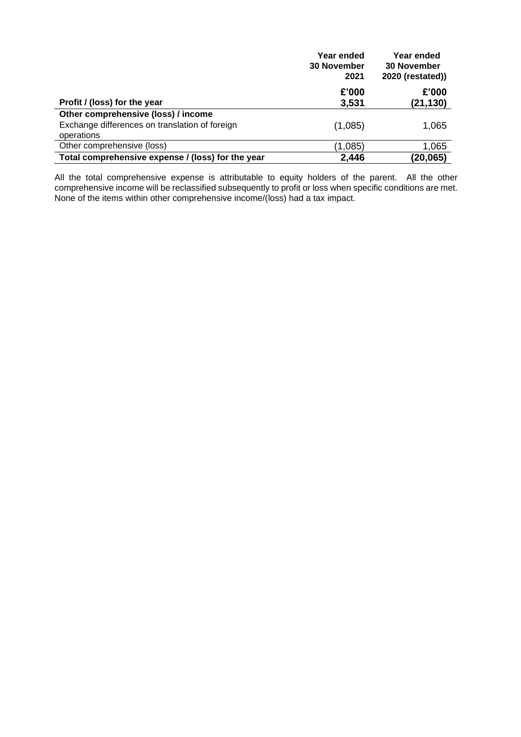|                                                   | Year ended<br><b>30 November</b> | Year ended<br><b>30 November</b> |
|---------------------------------------------------|----------------------------------|----------------------------------|
|                                                   | 2021                             | 2020 (restated))                 |
|                                                   | £'000                            | £'000                            |
| Profit / (loss) for the year                      | 3,531                            | (21,130)                         |
| Other comprehensive (loss) / income               |                                  |                                  |
| Exchange differences on translation of foreign    | (1,085)                          | 1,065                            |
| operations                                        |                                  |                                  |
| Other comprehensive (loss)                        | (1,085)                          | 1,065                            |
| Total comprehensive expense / (loss) for the year | 2,446                            | (20,065)                         |

All the total comprehensive expense is attributable to equity holders of the parent. All the other comprehensive income will be reclassified subsequently to profit or loss when specific conditions are met. None of the items within other comprehensive income/(loss) had a tax impact.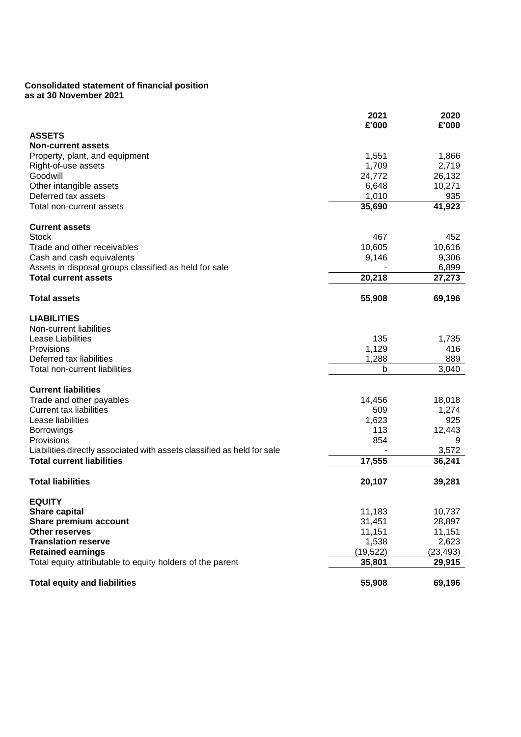# **Consolidated statement of financial position as at 30 November 2021**

|                                                                         | 2021<br>£'000 | 2020<br>£'000 |
|-------------------------------------------------------------------------|---------------|---------------|
| <b>ASSETS</b>                                                           |               |               |
| <b>Non-current assets</b>                                               |               |               |
| Property, plant, and equipment                                          | 1,551         | 1,866         |
| Right-of-use assets                                                     | 1,709         | 2,719         |
| Goodwill                                                                | 24,772        | 26,132        |
| Other intangible assets                                                 | 6,648         | 10,271        |
| Deferred tax assets                                                     | 1,010         | 935           |
| Total non-current assets                                                | 35,690        | 41,923        |
| <b>Current assets</b>                                                   |               |               |
| <b>Stock</b>                                                            | 467           | 452           |
| Trade and other receivables                                             | 10,605        | 10,616        |
| Cash and cash equivalents                                               | 9,146         | 9,306         |
| Assets in disposal groups classified as held for sale                   |               | 6,899         |
| <b>Total current assets</b>                                             | 20,218        | 27,273        |
| <b>Total assets</b>                                                     | 55,908        | 69,196        |
| <b>LIABILITIES</b>                                                      |               |               |
| Non-current liabilities                                                 |               |               |
| Lease Liabilities                                                       | 135           | 1,735         |
| Provisions                                                              | 1,129         | 416           |
| Deferred tax liabilities                                                | 1,288         | 889           |
| Total non-current liabilities                                           | b             | 3,040         |
| <b>Current liabilities</b>                                              |               |               |
| Trade and other payables                                                | 14,456        | 18,018        |
| <b>Current tax liabilities</b>                                          | 509           | 1,274         |
| Lease liabilities                                                       | 1,623         | 925           |
| <b>Borrowings</b>                                                       | 113           | 12,443        |
| Provisions                                                              | 854           | 9             |
| Liabilities directly associated with assets classified as held for sale |               | 3,572         |
| <b>Total current liabilities</b>                                        | 17,555        | 36,241        |
| <b>Total liabilities</b>                                                | 20,107        | 39,281        |
| <b>EQUITY</b>                                                           |               |               |
| <b>Share capital</b>                                                    | 11,183        | 10,737        |
| Share premium account                                                   | 31,451        | 28,897        |
| <b>Other reserves</b>                                                   | 11,151        | 11,151        |
| <b>Translation reserve</b>                                              | 1,538         | 2,623         |
| <b>Retained earnings</b>                                                | (19, 522)     | (23,493)      |
| Total equity attributable to equity holders of the parent               | 35,801        | 29,915        |
| <b>Total equity and liabilities</b>                                     | 55,908        | 69,196        |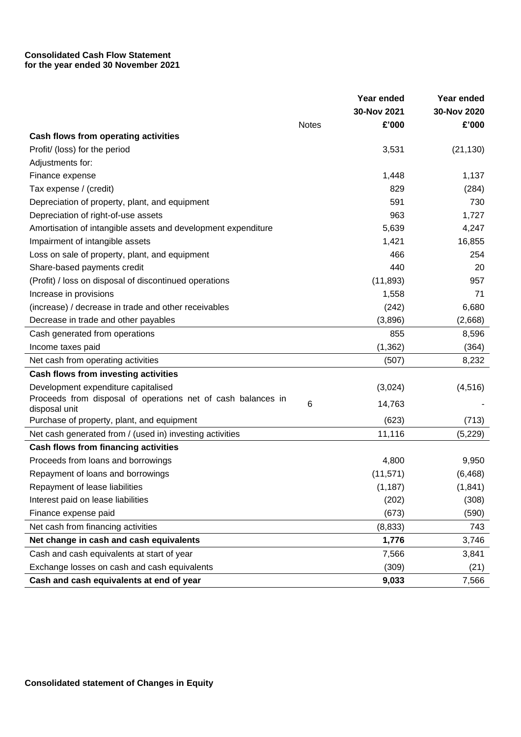# **Consolidated Cash Flow Statement for the year ended 30 November 2021**

|                                                                                  |              | Year ended     | Year ended   |
|----------------------------------------------------------------------------------|--------------|----------------|--------------|
|                                                                                  |              | 30-Nov 2021    | 30-Nov 2020  |
|                                                                                  | <b>Notes</b> | £'000          | £'000        |
| Cash flows from operating activities                                             |              |                |              |
| Profit/ (loss) for the period<br>Adjustments for:                                |              | 3,531          | (21, 130)    |
|                                                                                  |              |                | 1,137        |
| Finance expense<br>Tax expense / (credit)                                        |              | 1,448<br>829   |              |
| Depreciation of property, plant, and equipment                                   |              | 591            | (284)<br>730 |
|                                                                                  |              | 963            | 1,727        |
| Depreciation of right-of-use assets                                              |              |                |              |
| Amortisation of intangible assets and development expenditure                    |              | 5,639          | 4,247        |
| Impairment of intangible assets                                                  |              | 1,421          | 16,855       |
| Loss on sale of property, plant, and equipment                                   |              | 466            | 254          |
| Share-based payments credit                                                      |              | 440            | 20           |
| (Profit) / loss on disposal of discontinued operations<br>Increase in provisions |              | (11, 893)      | 957          |
|                                                                                  |              | 1,558<br>(242) | 71           |
| (increase) / decrease in trade and other receivables                             |              |                | 6,680        |
| Decrease in trade and other payables                                             |              | (3,896)        | (2,668)      |
| Cash generated from operations                                                   |              | 855            | 8,596        |
| Income taxes paid                                                                |              | (1, 362)       | (364)        |
| Net cash from operating activities                                               |              | (507)          | 8,232        |
| <b>Cash flows from investing activities</b>                                      |              |                |              |
| Development expenditure capitalised                                              |              | (3,024)        | (4, 516)     |
| Proceeds from disposal of operations net of cash balances in<br>disposal unit    | 6            | 14,763         |              |
| Purchase of property, plant, and equipment                                       |              | (623)          | (713)        |
| Net cash generated from / (used in) investing activities                         |              | 11,116         | (5,229)      |
| <b>Cash flows from financing activities</b>                                      |              |                |              |
| Proceeds from loans and borrowings                                               |              | 4,800          | 9,950        |
| Repayment of loans and borrowings                                                |              | (11, 571)      | (6, 468)     |
| Repayment of lease liabilities                                                   |              | (1, 187)       | (1, 841)     |
| Interest paid on lease liabilities                                               |              | (202)          | (308)        |
| Finance expense paid                                                             |              | (673)          | (590)        |
| Net cash from financing activities                                               |              | (8, 833)       | 743          |
| Net change in cash and cash equivalents                                          |              | 1,776          | 3,746        |
| Cash and cash equivalents at start of year                                       |              | 7,566          | 3,841        |
| Exchange losses on cash and cash equivalents                                     |              | (309)          | (21)         |
| Cash and cash equivalents at end of year                                         |              | 9,033          | 7,566        |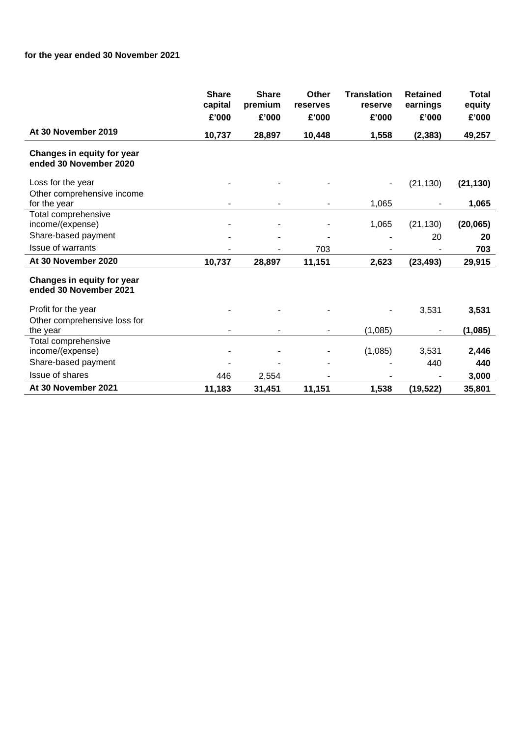# **for the year ended 30 November 2021**

|                                                      | <b>Share</b><br>capital | <b>Share</b><br>premium | Other<br>reserves | <b>Translation</b><br>reserve | <b>Retained</b><br>earnings | <b>Total</b><br>equity |
|------------------------------------------------------|-------------------------|-------------------------|-------------------|-------------------------------|-----------------------------|------------------------|
|                                                      | £'000                   | £'000                   | £'000             | £'000                         | £'000                       | £'000                  |
| At 30 November 2019                                  |                         |                         |                   |                               |                             |                        |
|                                                      | 10,737                  | 28,897                  | 10,448            | 1,558                         | (2, 383)                    | 49,257                 |
| Changes in equity for year<br>ended 30 November 2020 |                         |                         |                   |                               |                             |                        |
| Loss for the year                                    |                         |                         |                   |                               | (21, 130)                   | (21, 130)              |
| Other comprehensive income                           |                         |                         |                   |                               |                             |                        |
| for the year                                         |                         |                         |                   | 1,065                         |                             | 1,065                  |
| Total comprehensive                                  |                         |                         |                   |                               |                             |                        |
| income/(expense)                                     |                         |                         |                   | 1,065                         | (21, 130)                   | (20, 065)              |
| Share-based payment                                  |                         |                         |                   |                               | 20                          | 20                     |
| Issue of warrants                                    |                         |                         | 703               |                               |                             | 703                    |
| At 30 November 2020                                  | 10,737                  | 28,897                  | 11,151            | 2,623                         | (23, 493)                   | 29,915                 |
| Changes in equity for year<br>ended 30 November 2021 |                         |                         |                   |                               |                             |                        |
| Profit for the year                                  |                         |                         |                   |                               | 3,531                       | 3,531                  |
| Other comprehensive loss for                         |                         |                         |                   |                               |                             |                        |
| the year                                             |                         | ۰                       |                   | (1,085)                       |                             | (1,085)                |
| Total comprehensive                                  |                         |                         |                   |                               |                             |                        |
| income/(expense)                                     |                         | $\overline{a}$          |                   | (1,085)                       | 3,531                       | 2,446                  |
| Share-based payment                                  |                         |                         |                   |                               | 440                         | 440                    |
| Issue of shares                                      | 446                     | 2,554                   |                   |                               |                             | 3,000                  |
| At 30 November 2021                                  | 11,183                  | 31,451                  | 11,151            | 1,538                         | (19, 522)                   | 35,801                 |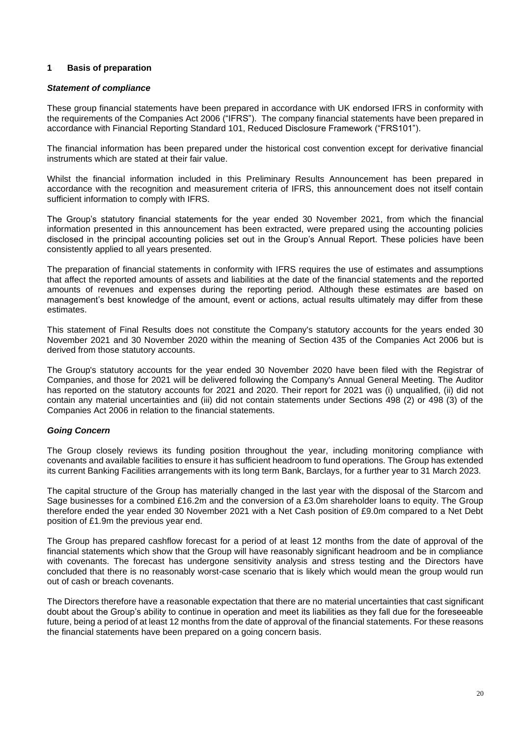# **1 Basis of preparation**

#### *Statement of compliance*

These group financial statements have been prepared in accordance with UK endorsed IFRS in conformity with the requirements of the Companies Act 2006 ("IFRS"). The company financial statements have been prepared in accordance with Financial Reporting Standard 101, Reduced Disclosure Framework ("FRS101").

The financial information has been prepared under the historical cost convention except for derivative financial instruments which are stated at their fair value.

Whilst the financial information included in this Preliminary Results Announcement has been prepared in accordance with the recognition and measurement criteria of IFRS, this announcement does not itself contain sufficient information to comply with IFRS.

The Group's statutory financial statements for the year ended 30 November 2021, from which the financial information presented in this announcement has been extracted, were prepared using the accounting policies disclosed in the principal accounting policies set out in the Group's Annual Report. These policies have been consistently applied to all years presented.

The preparation of financial statements in conformity with IFRS requires the use of estimates and assumptions that affect the reported amounts of assets and liabilities at the date of the financial statements and the reported amounts of revenues and expenses during the reporting period. Although these estimates are based on management's best knowledge of the amount, event or actions, actual results ultimately may differ from these estimates.

This statement of Final Results does not constitute the Company's statutory accounts for the years ended 30 November 2021 and 30 November 2020 within the meaning of Section 435 of the Companies Act 2006 but is derived from those statutory accounts.

The Group's statutory accounts for the year ended 30 November 2020 have been filed with the Registrar of Companies, and those for 2021 will be delivered following the Company's Annual General Meeting. The Auditor has reported on the statutory accounts for 2021 and 2020. Their report for 2021 was (i) unqualified, (ii) did not contain any material uncertainties and (iii) did not contain statements under Sections 498 (2) or 498 (3) of the Companies Act 2006 in relation to the financial statements.

# *Going Concern*

The Group closely reviews its funding position throughout the year, including monitoring compliance with covenants and available facilities to ensure it has sufficient headroom to fund operations. The Group has extended its current Banking Facilities arrangements with its long term Bank, Barclays, for a further year to 31 March 2023.

The capital structure of the Group has materially changed in the last year with the disposal of the Starcom and Sage businesses for a combined £16.2m and the conversion of a £3.0m shareholder loans to equity. The Group therefore ended the year ended 30 November 2021 with a Net Cash position of £9.0m compared to a Net Debt position of £1.9m the previous year end.

The Group has prepared cashflow forecast for a period of at least 12 months from the date of approval of the financial statements which show that the Group will have reasonably significant headroom and be in compliance with covenants. The forecast has undergone sensitivity analysis and stress testing and the Directors have concluded that there is no reasonably worst-case scenario that is likely which would mean the group would run out of cash or breach covenants.

The Directors therefore have a reasonable expectation that there are no material uncertainties that cast significant doubt about the Group's ability to continue in operation and meet its liabilities as they fall due for the foreseeable future, being a period of at least 12 months from the date of approval of the financial statements. For these reasons the financial statements have been prepared on a going concern basis.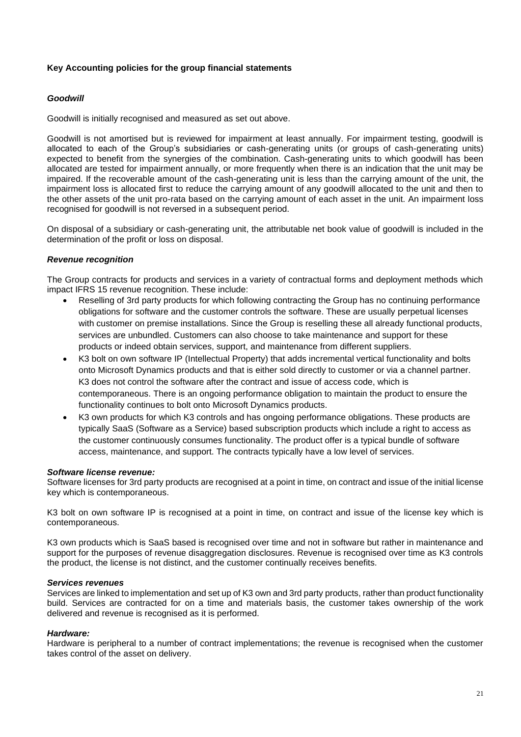# **Key Accounting policies for the group financial statements**

# *Goodwill*

Goodwill is initially recognised and measured as set out above.

Goodwill is not amortised but is reviewed for impairment at least annually. For impairment testing, goodwill is allocated to each of the Group's subsidiaries or cash-generating units (or groups of cash-generating units) expected to benefit from the synergies of the combination. Cash-generating units to which goodwill has been allocated are tested for impairment annually, or more frequently when there is an indication that the unit may be impaired. If the recoverable amount of the cash-generating unit is less than the carrying amount of the unit, the impairment loss is allocated first to reduce the carrying amount of any goodwill allocated to the unit and then to the other assets of the unit pro-rata based on the carrying amount of each asset in the unit. An impairment loss recognised for goodwill is not reversed in a subsequent period.

On disposal of a subsidiary or cash-generating unit, the attributable net book value of goodwill is included in the determination of the profit or loss on disposal.

# *Revenue recognition*

The Group contracts for products and services in a variety of contractual forms and deployment methods which impact IFRS 15 revenue recognition. These include:

- Reselling of 3rd party products for which following contracting the Group has no continuing performance obligations for software and the customer controls the software. These are usually perpetual licenses with customer on premise installations. Since the Group is reselling these all already functional products, services are unbundled. Customers can also choose to take maintenance and support for these products or indeed obtain services, support, and maintenance from different suppliers.
- K3 bolt on own software IP (Intellectual Property) that adds incremental vertical functionality and bolts onto Microsoft Dynamics products and that is either sold directly to customer or via a channel partner. K3 does not control the software after the contract and issue of access code, which is contemporaneous. There is an ongoing performance obligation to maintain the product to ensure the functionality continues to bolt onto Microsoft Dynamics products.
- K3 own products for which K3 controls and has ongoing performance obligations. These products are typically SaaS (Software as a Service) based subscription products which include a right to access as the customer continuously consumes functionality. The product offer is a typical bundle of software access, maintenance, and support. The contracts typically have a low level of services.

#### *Software license revenue:*

Software licenses for 3rd party products are recognised at a point in time, on contract and issue of the initial license key which is contemporaneous.

K3 bolt on own software IP is recognised at a point in time, on contract and issue of the license key which is contemporaneous.

K3 own products which is SaaS based is recognised over time and not in software but rather in maintenance and support for the purposes of revenue disaggregation disclosures. Revenue is recognised over time as K3 controls the product, the license is not distinct, and the customer continually receives benefits.

#### *Services revenues*

Services are linked to implementation and set up of K3 own and 3rd party products, rather than product functionality build. Services are contracted for on a time and materials basis, the customer takes ownership of the work delivered and revenue is recognised as it is performed.

#### *Hardware:*

Hardware is peripheral to a number of contract implementations; the revenue is recognised when the customer takes control of the asset on delivery.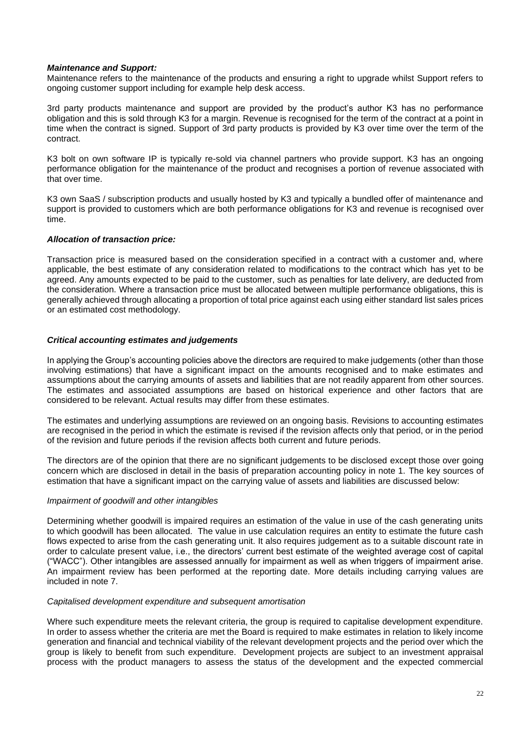#### *Maintenance and Support:*

Maintenance refers to the maintenance of the products and ensuring a right to upgrade whilst Support refers to ongoing customer support including for example help desk access.

3rd party products maintenance and support are provided by the product's author K3 has no performance obligation and this is sold through K3 for a margin. Revenue is recognised for the term of the contract at a point in time when the contract is signed. Support of 3rd party products is provided by K3 over time over the term of the contract.

K3 bolt on own software IP is typically re-sold via channel partners who provide support. K3 has an ongoing performance obligation for the maintenance of the product and recognises a portion of revenue associated with that over time.

K3 own SaaS / subscription products and usually hosted by K3 and typically a bundled offer of maintenance and support is provided to customers which are both performance obligations for K3 and revenue is recognised over time.

# *Allocation of transaction price:*

Transaction price is measured based on the consideration specified in a contract with a customer and, where applicable, the best estimate of any consideration related to modifications to the contract which has yet to be agreed. Any amounts expected to be paid to the customer, such as penalties for late delivery, are deducted from the consideration. Where a transaction price must be allocated between multiple performance obligations, this is generally achieved through allocating a proportion of total price against each using either standard list sales prices or an estimated cost methodology.

# *Critical accounting estimates and judgements*

In applying the Group's accounting policies above the directors are required to make judgements (other than those involving estimations) that have a significant impact on the amounts recognised and to make estimates and assumptions about the carrying amounts of assets and liabilities that are not readily apparent from other sources. The estimates and associated assumptions are based on historical experience and other factors that are considered to be relevant. Actual results may differ from these estimates.

The estimates and underlying assumptions are reviewed on an ongoing basis. Revisions to accounting estimates are recognised in the period in which the estimate is revised if the revision affects only that period, or in the period of the revision and future periods if the revision affects both current and future periods.

The directors are of the opinion that there are no significant judgements to be disclosed except those over going concern which are disclosed in detail in the basis of preparation accounting policy in note 1. The key sources of estimation that have a significant impact on the carrying value of assets and liabilities are discussed below:

#### *Impairment of goodwill and other intangibles*

Determining whether goodwill is impaired requires an estimation of the value in use of the cash generating units to which goodwill has been allocated. The value in use calculation requires an entity to estimate the future cash flows expected to arise from the cash generating unit. It also requires judgement as to a suitable discount rate in order to calculate present value, i.e., the directors' current best estimate of the weighted average cost of capital ("WACC"). Other intangibles are assessed annually for impairment as well as when triggers of impairment arise. An impairment review has been performed at the reporting date. More details including carrying values are included in note 7.

#### *Capitalised development expenditure and subsequent amortisation*

Where such expenditure meets the relevant criteria, the group is required to capitalise development expenditure. In order to assess whether the criteria are met the Board is required to make estimates in relation to likely income generation and financial and technical viability of the relevant development projects and the period over which the group is likely to benefit from such expenditure. Development projects are subject to an investment appraisal process with the product managers to assess the status of the development and the expected commercial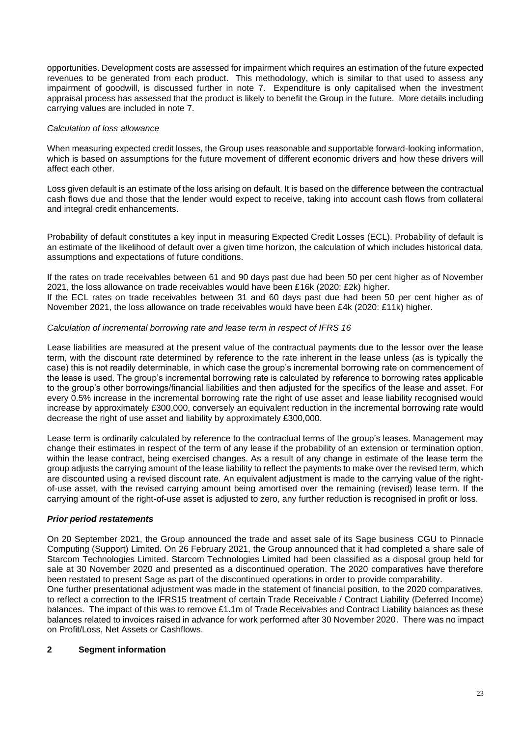opportunities. Development costs are assessed for impairment which requires an estimation of the future expected revenues to be generated from each product. This methodology, which is similar to that used to assess any impairment of goodwill, is discussed further in note 7. Expenditure is only capitalised when the investment appraisal process has assessed that the product is likely to benefit the Group in the future. More details including carrying values are included in note 7.

# *Calculation of loss allowance*

When measuring expected credit losses, the Group uses reasonable and supportable forward-looking information, which is based on assumptions for the future movement of different economic drivers and how these drivers will affect each other.

Loss given default is an estimate of the loss arising on default. It is based on the difference between the contractual cash flows due and those that the lender would expect to receive, taking into account cash flows from collateral and integral credit enhancements.

Probability of default constitutes a key input in measuring Expected Credit Losses (ECL). Probability of default is an estimate of the likelihood of default over a given time horizon, the calculation of which includes historical data, assumptions and expectations of future conditions.

If the rates on trade receivables between 61 and 90 days past due had been 50 per cent higher as of November 2021, the loss allowance on trade receivables would have been £16k (2020: £2k) higher. If the ECL rates on trade receivables between 31 and 60 days past due had been 50 per cent higher as of November 2021, the loss allowance on trade receivables would have been £4k (2020: £11k) higher.

# *Calculation of incremental borrowing rate and lease term in respect of IFRS 16*

Lease liabilities are measured at the present value of the contractual payments due to the lessor over the lease term, with the discount rate determined by reference to the rate inherent in the lease unless (as is typically the case) this is not readily determinable, in which case the group's incremental borrowing rate on commencement of the lease is used. The group's incremental borrowing rate is calculated by reference to borrowing rates applicable to the group's other borrowings/financial liabilities and then adjusted for the specifics of the lease and asset. For every 0.5% increase in the incremental borrowing rate the right of use asset and lease liability recognised would increase by approximately £300,000, conversely an equivalent reduction in the incremental borrowing rate would decrease the right of use asset and liability by approximately £300,000.

Lease term is ordinarily calculated by reference to the contractual terms of the group's leases. Management may change their estimates in respect of the term of any lease if the probability of an extension or termination option, within the lease contract, being exercised changes. As a result of any change in estimate of the lease term the group adjusts the carrying amount of the lease liability to reflect the payments to make over the revised term, which are discounted using a revised discount rate. An equivalent adjustment is made to the carrying value of the rightof-use asset, with the revised carrying amount being amortised over the remaining (revised) lease term. If the carrying amount of the right-of-use asset is adjusted to zero, any further reduction is recognised in profit or loss.

# *Prior period restatements*

On 20 September 2021, the Group announced the trade and asset sale of its Sage business CGU to Pinnacle Computing (Support) Limited. On 26 February 2021, the Group announced that it had completed a share sale of Starcom Technologies Limited. Starcom Technologies Limited had been classified as a disposal group held for sale at 30 November 2020 and presented as a discontinued operation. The 2020 comparatives have therefore been restated to present Sage as part of the discontinued operations in order to provide comparability.

One further presentational adjustment was made in the statement of financial position, to the 2020 comparatives, to reflect a correction to the IFRS15 treatment of certain Trade Receivable / Contract Liability (Deferred Income) balances. The impact of this was to remove £1.1m of Trade Receivables and Contract Liability balances as these balances related to invoices raised in advance for work performed after 30 November 2020. There was no impact on Profit/Loss, Net Assets or Cashflows.

# **2 Segment information**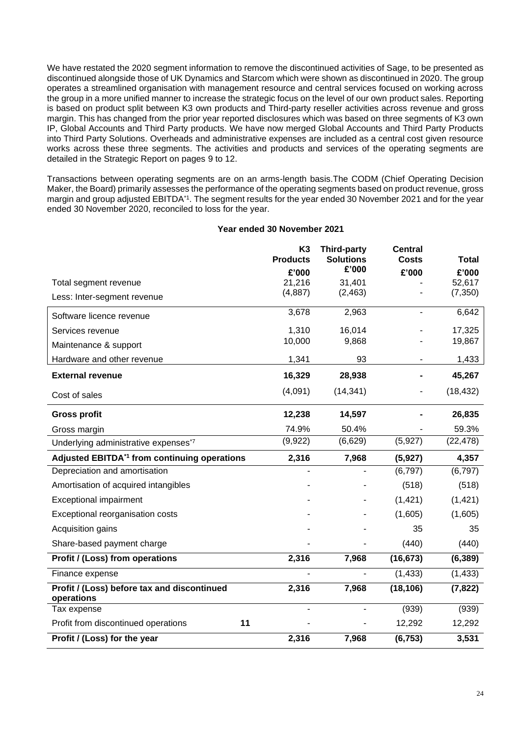We have restated the 2020 segment information to remove the discontinued activities of Sage, to be presented as discontinued alongside those of UK Dynamics and Starcom which were shown as discontinued in 2020. The group operates a streamlined organisation with management resource and central services focused on working across the group in a more unified manner to increase the strategic focus on the level of our own product sales. Reporting is based on product split between K3 own products and Third-party reseller activities across revenue and gross margin. This has changed from the prior year reported disclosures which was based on three segments of K3 own IP, Global Accounts and Third Party products. We have now merged Global Accounts and Third Party Products into Third Party Solutions. Overheads and administrative expenses are included as a central cost given resource works across these three segments. The activities and products and services of the operating segments are detailed in the Strategic Report on pages 9 to 12.

Transactions between operating segments are on an arms-length basis.The CODM (Chief Operating Decision Maker, the Board) primarily assesses the performance of the operating segments based on product revenue, gross margin and group adjusted EBITDA\*1. The segment results for the year ended 30 November 2021 and for the year ended 30 November 2020, reconciled to loss for the year.

#### **Year ended 30 November 2021**

|                                                           | K <sub>3</sub><br><b>Products</b> | <b>Third-party</b><br><b>Solutions</b> | <b>Central</b><br><b>Costs</b> | <b>Total</b>       |
|-----------------------------------------------------------|-----------------------------------|----------------------------------------|--------------------------------|--------------------|
|                                                           | £'000                             | £'000                                  | £'000                          | £'000              |
| Total segment revenue                                     | 21,216<br>(4, 887)                | 31,401<br>(2, 463)                     |                                | 52,617<br>(7, 350) |
| Less: Inter-segment revenue                               |                                   |                                        |                                |                    |
| Software licence revenue                                  | 3,678                             | 2,963                                  | ۰                              | 6,642              |
| Services revenue                                          | 1,310                             | 16,014                                 |                                | 17,325             |
| Maintenance & support                                     | 10,000                            | 9,868                                  |                                | 19,867             |
| Hardware and other revenue                                | 1,341                             | 93                                     |                                | 1,433              |
| <b>External revenue</b>                                   | 16,329                            | 28,938                                 |                                | 45,267             |
| Cost of sales                                             | (4,091)                           | (14, 341)                              |                                | (18, 432)          |
| <b>Gross profit</b>                                       | 12,238                            | 14,597                                 |                                | 26,835             |
| Gross margin                                              | 74.9%                             | 50.4%                                  |                                | 59.3%              |
| Underlying administrative expenses <sup>*7</sup>          | (9,922)                           | (6,629)                                | (5,927)                        | (22, 478)          |
| Adjusted EBITDA <sup>*1</sup> from continuing operations  | 2,316                             | 7,968                                  | (5, 927)                       | 4,357              |
| Depreciation and amortisation                             |                                   |                                        | (6, 797)                       | (6, 797)           |
| Amortisation of acquired intangibles                      |                                   |                                        | (518)                          | (518)              |
| <b>Exceptional impairment</b>                             |                                   |                                        | (1, 421)                       | (1, 421)           |
| Exceptional reorganisation costs                          |                                   |                                        | (1,605)                        | (1,605)            |
| Acquisition gains                                         |                                   |                                        | 35                             | 35                 |
| Share-based payment charge                                |                                   |                                        | (440)                          | (440)              |
| Profit / (Loss) from operations                           | 2,316                             | 7,968                                  | (16, 673)                      | (6, 389)           |
| Finance expense                                           |                                   |                                        | (1, 433)                       | (1, 433)           |
| Profit / (Loss) before tax and discontinued<br>operations | 2,316                             | 7,968                                  | (18, 106)                      | (7, 822)           |
| Tax expense                                               |                                   |                                        | (939)                          | (939)              |
| 11<br>Profit from discontinued operations                 |                                   |                                        | 12,292                         | 12,292             |
| Profit / (Loss) for the year                              | 2,316                             | 7,968                                  | (6, 753)                       | 3,531              |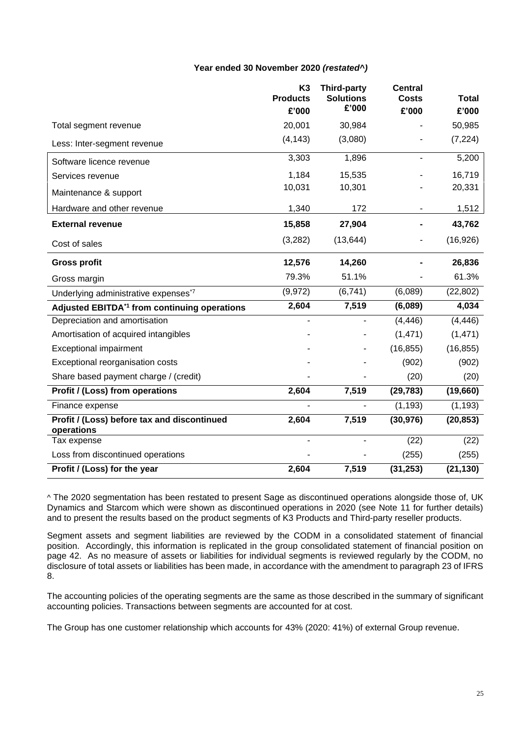# **Year ended 30 November 2020** *(restated^)*

|                                                           | K <sub>3</sub><br><b>Products</b> | <b>Third-party</b><br><b>Solutions</b> | <b>Central</b><br><b>Costs</b> | <b>Total</b> |
|-----------------------------------------------------------|-----------------------------------|----------------------------------------|--------------------------------|--------------|
|                                                           | £'000                             | £'000                                  | £'000                          | £'000        |
| Total segment revenue                                     | 20,001                            | 30,984                                 |                                | 50,985       |
| Less: Inter-segment revenue                               | (4, 143)                          | (3,080)                                |                                | (7, 224)     |
| Software licence revenue                                  | 3,303                             | 1,896                                  |                                | 5,200        |
| Services revenue                                          | 1,184                             | 15,535                                 |                                | 16,719       |
| Maintenance & support                                     | 10,031                            | 10,301                                 |                                | 20,331       |
| Hardware and other revenue                                | 1,340                             | 172                                    |                                | 1,512        |
| <b>External revenue</b>                                   | 15,858                            | 27,904                                 |                                | 43,762       |
| Cost of sales                                             | (3,282)                           | (13, 644)                              |                                | (16, 926)    |
| <b>Gross profit</b>                                       | 12,576                            | 14,260                                 |                                | 26,836       |
| Gross margin                                              | 79.3%                             | 51.1%                                  |                                | 61.3%        |
| Underlying administrative expenses*7                      | (9, 972)                          | (6,741)                                | (6,089)                        | (22, 802)    |
| Adjusted EBITDA <sup>*1</sup> from continuing operations  | 2,604                             | 7,519                                  | (6,089)                        | 4,034        |
| Depreciation and amortisation                             |                                   |                                        | (4, 446)                       | (4, 446)     |
| Amortisation of acquired intangibles                      |                                   |                                        | (1, 471)                       | (1, 471)     |
| <b>Exceptional impairment</b>                             |                                   |                                        | (16, 855)                      | (16, 855)    |
| Exceptional reorganisation costs                          |                                   |                                        | (902)                          | (902)        |
| Share based payment charge / (credit)                     |                                   |                                        | (20)                           | (20)         |
| Profit / (Loss) from operations                           | 2,604                             | 7,519                                  | (29, 783)                      | (19,660)     |
| Finance expense                                           |                                   |                                        | (1, 193)                       | (1, 193)     |
| Profit / (Loss) before tax and discontinued<br>operations | 2,604                             | 7,519                                  | (30, 976)                      | (20, 853)    |
| Tax expense                                               |                                   |                                        | (22)                           | (22)         |
| Loss from discontinued operations                         |                                   |                                        | (255)                          | (255)        |
| Profit / (Loss) for the year                              | 2,604                             | 7,519                                  | (31, 253)                      | (21, 130)    |

^ The 2020 segmentation has been restated to present Sage as discontinued operations alongside those of, UK Dynamics and Starcom which were shown as discontinued operations in 2020 (see Note 11 for further details) and to present the results based on the product segments of K3 Products and Third-party reseller products.

Segment assets and segment liabilities are reviewed by the CODM in a consolidated statement of financial position. Accordingly, this information is replicated in the group consolidated statement of financial position on page 42. As no measure of assets or liabilities for individual segments is reviewed regularly by the CODM, no disclosure of total assets or liabilities has been made, in accordance with the amendment to paragraph 23 of IFRS 8.

The accounting policies of the operating segments are the same as those described in the summary of significant accounting policies. Transactions between segments are accounted for at cost.

The Group has one customer relationship which accounts for 43% (2020: 41%) of external Group revenue.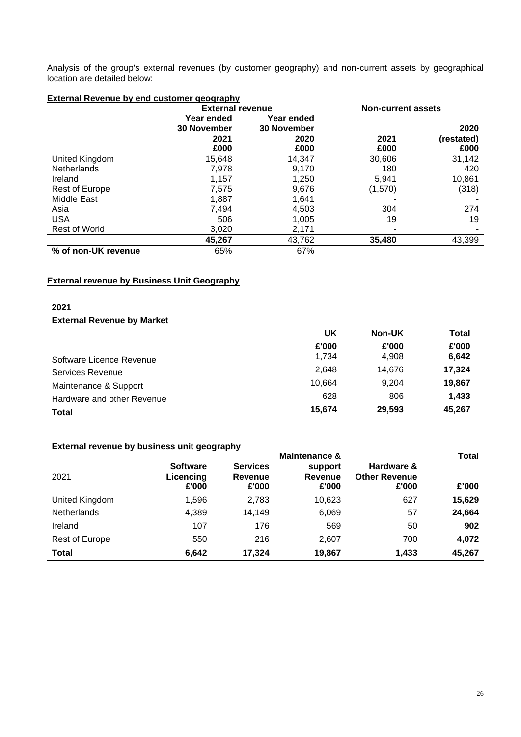Analysis of the group's external revenues (by customer geography) and non-current assets by geographical location are detailed below:

| <b>External Revenue by end customer geography</b> |                         |                    |                    |            |  |
|---------------------------------------------------|-------------------------|--------------------|--------------------|------------|--|
|                                                   | <b>External revenue</b> |                    | Non-current assets |            |  |
|                                                   | Year ended              | Year ended         |                    |            |  |
|                                                   | <b>30 November</b>      | <b>30 November</b> |                    | 2020       |  |
|                                                   | 2021                    | 2020               | 2021               | (restated) |  |
|                                                   | £000                    | £000               | £000               | £000       |  |
| United Kingdom                                    | 15,648                  | 14,347             | 30,606             | 31,142     |  |
| <b>Netherlands</b>                                | 7,978                   | 9.170              | 180                | 420        |  |
| Ireland                                           | 1,157                   | 1,250              | 5,941              | 10,861     |  |
| <b>Rest of Europe</b>                             | 7,575                   | 9,676              | (1,570)            | (318)      |  |
| Middle East                                       | 1,887                   | 1,641              |                    |            |  |
| Asia                                              | 7,494                   | 4,503              | 304                | 274        |  |
| <b>USA</b>                                        | 506                     | 1,005              | 19                 | 19         |  |
| <b>Rest of World</b>                              | 3,020                   | 2,171              |                    |            |  |
|                                                   | 45,267                  | 43,762             | 35,480             | 43,399     |  |
| % of non-UK revenue                               | 65%                     | 67%                |                    |            |  |

**External revenue by Business Unit Geography**

# **2021**

# **External Revenue by Market**

|                            | UK     | <b>Non-UK</b> | Total  |
|----------------------------|--------|---------------|--------|
|                            | £'000  | £'000         | £'000  |
| Software Licence Revenue   | 1,734  | 4,908         | 6,642  |
| Services Revenue           | 2,648  | 14.676        | 17,324 |
| Maintenance & Support      | 10.664 | 9.204         | 19,867 |
| Hardware and other Revenue | 628    | 806           | 1,433  |
| Total                      | 15,674 | 29,593        | 45,267 |

# **External revenue by business unit geography**

| Externar revenue by buonnego unit geography<br>2021 | <b>Software</b><br>Licencing<br>£'000 | <b>Services</b><br>Revenue<br>£'000 | Maintenance &<br>support<br><b>Revenue</b><br>£'000 | Hardware &<br><b>Other Revenue</b><br>£'000 | <b>Total</b><br>£'000 |
|-----------------------------------------------------|---------------------------------------|-------------------------------------|-----------------------------------------------------|---------------------------------------------|-----------------------|
| United Kingdom                                      | 1,596                                 | 2,783                               | 10,623                                              | 627                                         | 15,629                |
| Netherlands                                         | 4,389                                 | 14,149                              | 6,069                                               | 57                                          | 24,664                |
| Ireland                                             | 107                                   | 176                                 | 569                                                 | 50                                          | 902                   |
| Rest of Europe                                      | 550                                   | 216                                 | 2,607                                               | 700                                         | 4,072                 |
| <b>Total</b>                                        | 6,642                                 | 17,324                              | 19,867                                              | 1,433                                       | 45,267                |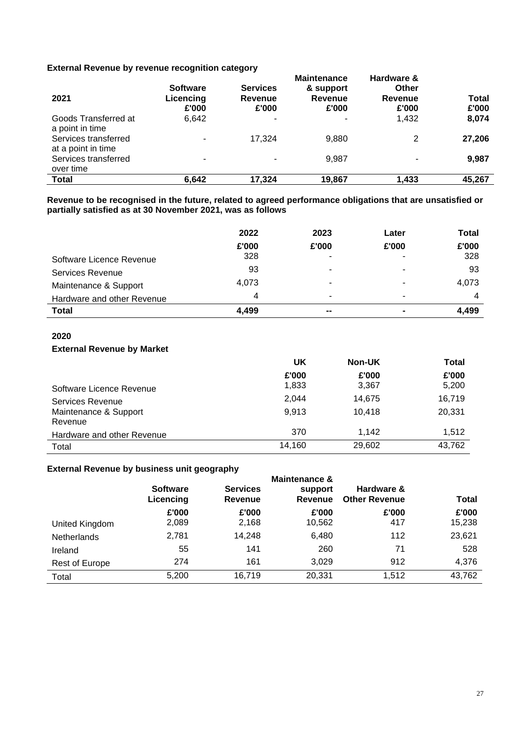# **External Revenue by revenue recognition category**

| External Revenue by Tevenue Tecognition Category<br>2021 | <b>Software</b><br>Licencing<br>£'000 | <b>Services</b><br>Revenue<br>£'000 | <b>Maintenance</b><br>& support<br>Revenue<br>£'000 | Hardware &<br>Other<br>Revenue<br>£'000 | Total<br>£'000 |
|----------------------------------------------------------|---------------------------------------|-------------------------------------|-----------------------------------------------------|-----------------------------------------|----------------|
| Goods Transferred at<br>a point in time                  | 6,642                                 | ۰                                   |                                                     | 1,432                                   | 8,074          |
| Services transferred<br>at a point in time               | ۰                                     | 17,324                              | 9.880                                               | 2                                       | 27,206         |
| Services transferred<br>over time                        | ٠                                     |                                     | 9,987                                               |                                         | 9,987          |
| <b>Total</b>                                             | 6,642                                 | 17,324                              | 19,867                                              | 1,433                                   | 45,267         |

**Revenue to be recognised in the future, related to agreed performance obligations that are unsatisfied or partially satisfied as at 30 November 2021, was as follows** 

|                            | 2022  | 2023  | Later | Total |
|----------------------------|-------|-------|-------|-------|
|                            | £'000 | £'000 | £'000 | £'000 |
| Software Licence Revenue   | 328   | ۰     |       | 328   |
| <b>Services Revenue</b>    | 93    | ٠     |       | 93    |
| Maintenance & Support      | 4,073 | ۰     | -     | 4,073 |
| Hardware and other Revenue | 4     | ۰     | -     |       |
| <b>Total</b>               | 4,499 | --    |       | 4.499 |

#### **2020**

#### **External Revenue by Market**

|                            | UK     | <b>Non-UK</b> | Total  |
|----------------------------|--------|---------------|--------|
|                            | £'000  | £'000         | £'000  |
| Software Licence Revenue   | 1,833  | 3,367         | 5,200  |
| Services Revenue           | 2.044  | 14,675        | 16,719 |
| Maintenance & Support      | 9.913  | 10,418        | 20,331 |
| Revenue                    | 370    | 1,142         | 1,512  |
| Hardware and other Revenue |        |               |        |
| Total                      | 14,160 | 29,602        | 43,762 |

# **External Revenue by business unit geography**

|                | <b>Software</b> | <b>Services</b> | <b>Maintenance &amp;</b><br>support | Hardware &           |              |
|----------------|-----------------|-----------------|-------------------------------------|----------------------|--------------|
|                | Licencing       | Revenue         | <b>Revenue</b>                      | <b>Other Revenue</b> | <b>Total</b> |
|                | £'000           | £'000           | £'000                               | £'000                | £'000        |
| United Kingdom | 2,089           | 2,168           | 10,562                              | 417                  | 15,238       |
| Netherlands    | 2,781           | 14,248          | 6,480                               | 112                  | 23,621       |
| Ireland        | 55              | 141             | 260                                 | 71                   | 528          |
| Rest of Europe | 274             | 161             | 3.029                               | 912                  | 4,376        |
| Total          | 5,200           | 16,719          | 20,331                              | 1,512                | 43,762       |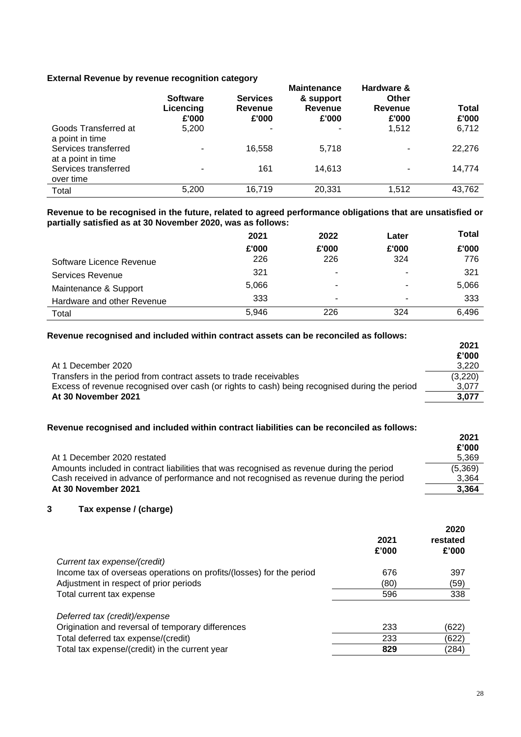# **External Revenue by revenue recognition category**

| EXIGHTION INGRESSION OF TURBITION TUDOGITILION UOIDUGUI F |                                       |                                     |                                                            |                                                |                |
|-----------------------------------------------------------|---------------------------------------|-------------------------------------|------------------------------------------------------------|------------------------------------------------|----------------|
|                                                           | <b>Software</b><br>Licencing<br>£'000 | <b>Services</b><br>Revenue<br>£'000 | <b>Maintenance</b><br>& support<br><b>Revenue</b><br>£'000 | Hardware &<br>Other<br><b>Revenue</b><br>£'000 | Total<br>£'000 |
| Goods Transferred at<br>a point in time                   | 5,200                                 | ٠                                   | ۰                                                          | 1,512                                          | 6,712          |
| Services transferred<br>at a point in time                | ٠                                     | 16.558                              | 5,718                                                      |                                                | 22,276         |
| Services transferred<br>over time                         | ٠                                     | 161                                 | 14,613                                                     |                                                | 14,774         |
| Total                                                     | 5,200                                 | 16,719                              | 20,331                                                     | 1,512                                          | 43,762         |

**Revenue to be recognised in the future, related to agreed performance obligations that are unsatisfied or partially satisfied as at 30 November 2020, was as follows:**

|                            | 2021  | 2022  | Later | <b>Total</b> |
|----------------------------|-------|-------|-------|--------------|
|                            | £'000 | £'000 | £'000 | £'000        |
| Software Licence Revenue   | 226   | 226   | 324   | 776          |
| Services Revenue           | 321   |       | -     | 321          |
| Maintenance & Support      | 5,066 | ۰     | ٠     | 5,066        |
| Hardware and other Revenue | 333   | ۰     | ٠     | 333          |
| Total                      | 5.946 | 226   | 324   | 6,496        |

#### **Revenue recognised and included within contract assets can be reconciled as follows:**

|                                                                                               | 2021<br>£'000 |
|-----------------------------------------------------------------------------------------------|---------------|
| At 1 December 2020                                                                            | 3,220         |
| Transfers in the period from contract assets to trade receivables                             | (3,220)       |
| Excess of revenue recognised over cash (or rights to cash) being recognised during the period | 3,077         |
| At 30 November 2021                                                                           | 3.077         |

# **Revenue recognised and included within contract liabilities can be reconciled as follows:**

|                                                                                           | 2021<br>£'000 |
|-------------------------------------------------------------------------------------------|---------------|
| At 1 December 2020 restated                                                               | 5,369         |
| Amounts included in contract liabilities that was recognised as revenue during the period | (5,369)       |
| Cash received in advance of performance and not recognised as revenue during the period   | 3,364         |
| At 30 November 2021                                                                       | 3.364         |

# **3 Tax expense / (charge)**

| Current tax expense/(credit)                                         | 2021<br>£'000 | 2020<br>restated<br>£'000 |
|----------------------------------------------------------------------|---------------|---------------------------|
| Income tax of overseas operations on profits/(losses) for the period | 676           | 397                       |
| Adjustment in respect of prior periods                               | (80)          | (59)                      |
| Total current tax expense                                            | 596           | 338                       |
| Deferred tax (credit)/expense                                        |               |                           |
| Origination and reversal of temporary differences                    | 233           | (622)                     |
| Total deferred tax expense/(credit)                                  | 233           | (622)                     |
| Total tax expense/(credit) in the current year                       | 829           | (284)                     |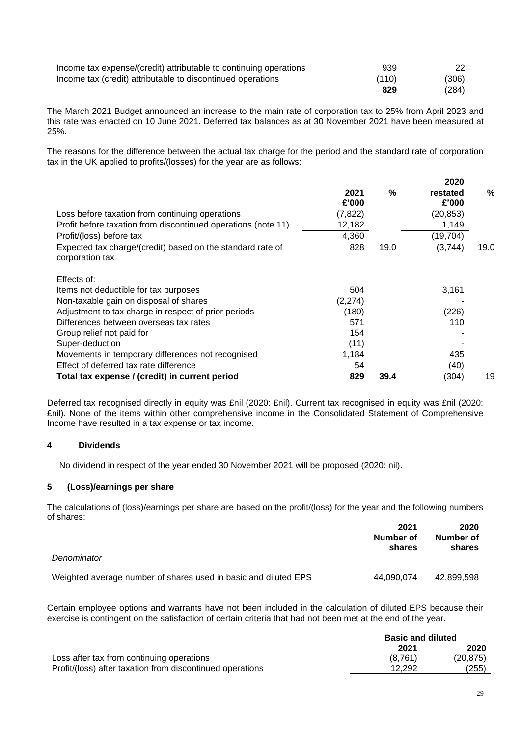| Income tax expense/(credit) attributable to continuing operations | 939   |       |
|-------------------------------------------------------------------|-------|-------|
| Income tax (credit) attributable to discontinued operations       | (110) | (306) |
|                                                                   | 829   | (284) |

The March 2021 Budget announced an increase to the main rate of corporation tax to 25% from April 2023 and this rate was enacted on 10 June 2021. Deferred tax balances as at 30 November 2021 have been measured at 25%.

The reasons for the difference between the actual tax charge for the period and the standard rate of corporation tax in the UK applied to profits/(losses) for the year are as follows:

| Loss before taxation from continuing operations<br>Profit before taxation from discontinued operations (note 11)<br>Profit/(loss) before tax<br>Expected tax charge/(credit) based on the standard rate of<br>corporation tax                                                                                                                   | 2021<br>£'000<br>(7, 822)<br>12,182<br>4,360<br>828           | $\%$<br>19.0 | 2020<br>restated<br>£'000<br>(20, 853)<br>1,149<br>(19, 704)<br>(3,744) | $\%$<br>19.0 |
|-------------------------------------------------------------------------------------------------------------------------------------------------------------------------------------------------------------------------------------------------------------------------------------------------------------------------------------------------|---------------------------------------------------------------|--------------|-------------------------------------------------------------------------|--------------|
| Effects of:<br>Items not deductible for tax purposes<br>Non-taxable gain on disposal of shares<br>Adjustment to tax charge in respect of prior periods<br>Differences between overseas tax rates<br>Group relief not paid for<br>Super-deduction<br>Movements in temporary differences not recognised<br>Effect of deferred tax rate difference | 504<br>(2, 274)<br>(180)<br>571<br>154<br>(11)<br>1,184<br>54 |              | 3,161<br>(226)<br>110<br>435<br>(40)                                    |              |
| Total tax expense / (credit) in current period                                                                                                                                                                                                                                                                                                  | 829                                                           | 39.4         | (304)                                                                   | 19           |

Deferred tax recognised directly in equity was £nil (2020: £nil). Current tax recognised in equity was £nil (2020: £nil). None of the items within other comprehensive income in the Consolidated Statement of Comprehensive Income have resulted in a tax expense or tax income.

# **4 Dividends**

No dividend in respect of the year ended 30 November 2021 will be proposed (2020: nil).

# **5 (Loss)/earnings per share**

The calculations of (loss)/earnings per share are based on the profit/(loss) for the year and the following numbers of shares:

|                                                                 | 2021<br>Number of<br>shares | 2020<br>Number of<br>shares |
|-----------------------------------------------------------------|-----------------------------|-----------------------------|
| Denominator                                                     |                             |                             |
| Weighted average number of shares used in basic and diluted EPS | 44.090.074                  | 42.899.598                  |

Certain employee options and warrants have not been included in the calculation of diluted EPS because their exercise is contingent on the satisfaction of certain criteria that had not been met at the end of the year.

|                                                           | <b>Basic and diluted</b> |           |
|-----------------------------------------------------------|--------------------------|-----------|
|                                                           | 2021                     | 2020      |
| Loss after tax from continuing operations                 | (8,761)                  | (20, 875) |
| Profit/(loss) after taxation from discontinued operations | 12.292                   | (255)     |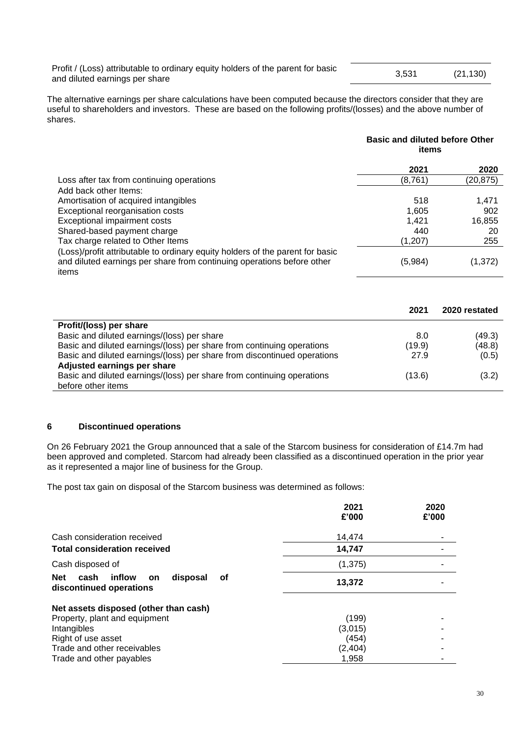Profit / (Loss) attributable to ordinary equity holders of the parent for basic Profit (LOSS) attributable to ordinary equity noticely of the parent for basic and diluted earnings per share  $(21,130)$ 

The alternative earnings per share calculations have been computed because the directors consider that they are useful to shareholders and investors. These are based on the following profits/(losses) and the above number of shares.

|                                                                                 | <b>Basic and diluted before Other</b><br>items |           |
|---------------------------------------------------------------------------------|------------------------------------------------|-----------|
|                                                                                 | 2021                                           | 2020      |
| Loss after tax from continuing operations                                       | (8,761)                                        | (20, 875) |
| Add back other Items:                                                           |                                                |           |
| Amortisation of acquired intangibles                                            | 518                                            | 1,471     |
| Exceptional reorganisation costs                                                | 1.605                                          | 902       |
| Exceptional impairment costs                                                    | 1.421                                          | 16,855    |
| Shared-based payment charge                                                     | 440                                            | 20        |
| Tax charge related to Other Items                                               | (1, 207)                                       | 255       |
| (Loss)/profit attributable to ordinary equity holders of the parent for basic   |                                                |           |
| and diluted earnings per share from continuing operations before other<br>items | (5,984)                                        | (1,372)   |

|                                                                          | 2021   | 2020 restated |
|--------------------------------------------------------------------------|--------|---------------|
| Profit/(loss) per share                                                  |        |               |
| Basic and diluted earnings/(loss) per share                              | 8.0    | (49.3)        |
| Basic and diluted earnings/(loss) per share from continuing operations   | (19.9) | (48.8)        |
| Basic and diluted earnings/(loss) per share from discontinued operations | 27.9   | (0.5)         |
| Adjusted earnings per share                                              |        |               |
| Basic and diluted earnings/(loss) per share from continuing operations   | (13.6) | (3.2)         |
| before other items                                                       |        |               |

# **6 Discontinued operations**

On 26 February 2021 the Group announced that a sale of the Starcom business for consideration of £14.7m had been approved and completed. Starcom had already been classified as a discontinued operation in the prior year as it represented a major line of business for the Group.

The post tax gain on disposal of the Starcom business was determined as follows:

|                                                                                 | 2021<br>£'000 | 2020<br>£'000 |
|---------------------------------------------------------------------------------|---------------|---------------|
| Cash consideration received                                                     | 14,474        |               |
| <b>Total consideration received</b>                                             | 14,747        |               |
| Cash disposed of                                                                | (1, 375)      |               |
| inflow<br>disposal<br><b>Net</b><br>cash<br>οf<br>on<br>discontinued operations | 13,372        |               |
| Net assets disposed (other than cash)                                           |               |               |
| Property, plant and equipment                                                   | (199)         |               |
| Intangibles                                                                     | (3,015)       |               |
| Right of use asset                                                              | (454)         |               |
| Trade and other receivables                                                     | (2, 404)      |               |
| Trade and other payables                                                        | 1,958         |               |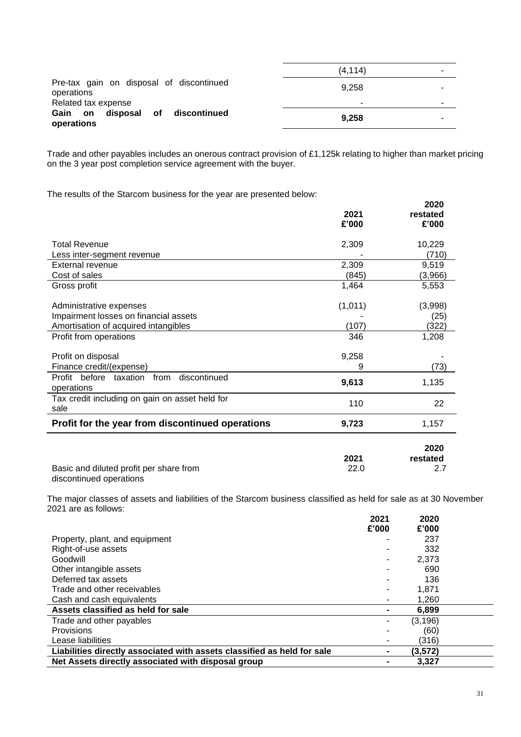|                                                        | (4.114) | - |
|--------------------------------------------------------|---------|---|
| Pre-tax gain on disposal of discontinued<br>operations | 9.258   |   |
| Related tax expense                                    | ۰       |   |
| Gain on disposal<br>of<br>discontinued<br>operations   | 9,258   |   |

Trade and other payables includes an onerous contract provision of £1,125k relating to higher than market pricing on the 3 year post completion service agreement with the buyer.

The results of the Starcom business for the year are presented below:

|                                                              | 2021<br>£'000 | 2020<br>restated<br>£'000 |
|--------------------------------------------------------------|---------------|---------------------------|
| <b>Total Revenue</b>                                         | 2,309         | 10,229                    |
| Less inter-segment revenue                                   |               | (710)                     |
| <b>External revenue</b>                                      | 2,309         | 9,519                     |
| Cost of sales                                                | (845)         | (3,966)                   |
| Gross profit                                                 | 1,464         | 5,553                     |
| Administrative expenses                                      | (1,011)       | (3,998)                   |
| Impairment losses on financial assets                        |               | (25)                      |
| Amortisation of acquired intangibles                         | (107)         | (322)                     |
| Profit from operations                                       | 346           | 1,208                     |
| Profit on disposal<br>Finance credit/(expense)               | 9,258<br>9    | (73)                      |
| discontinued<br>Profit before taxation<br>from<br>operations | 9,613         | 1,135                     |
| Tax credit including on gain on asset held for<br>sale       | 110           | 22                        |
| Profit for the year from discontinued operations             | 9,723         | 1,157                     |
| Basic and diluted profit per share from                      | 2021<br>22.0  | 2020<br>restated<br>2.7   |

discontinued operations

The major classes of assets and liabilities of the Starcom business classified as held for sale as at 30 November 2021 are as follows:

|                                                                         | 2021  | 2020     |  |
|-------------------------------------------------------------------------|-------|----------|--|
|                                                                         | £'000 | £'000    |  |
| Property, plant, and equipment                                          |       | 237      |  |
| Right-of-use assets                                                     |       | 332      |  |
| Goodwill                                                                |       | 2,373    |  |
| Other intangible assets                                                 |       | 690      |  |
| Deferred tax assets                                                     |       | 136      |  |
| Trade and other receivables                                             |       | 1.871    |  |
| Cash and cash equivalents                                               |       | 1,260    |  |
| Assets classified as held for sale                                      |       | 6.899    |  |
| Trade and other payables                                                |       | (3, 196) |  |
| Provisions                                                              |       | (60)     |  |
| Lease liabilities                                                       |       | (316)    |  |
| Liabilities directly associated with assets classified as held for sale |       | (3,572)  |  |
| Net Assets directly associated with disposal group                      |       | 3.327    |  |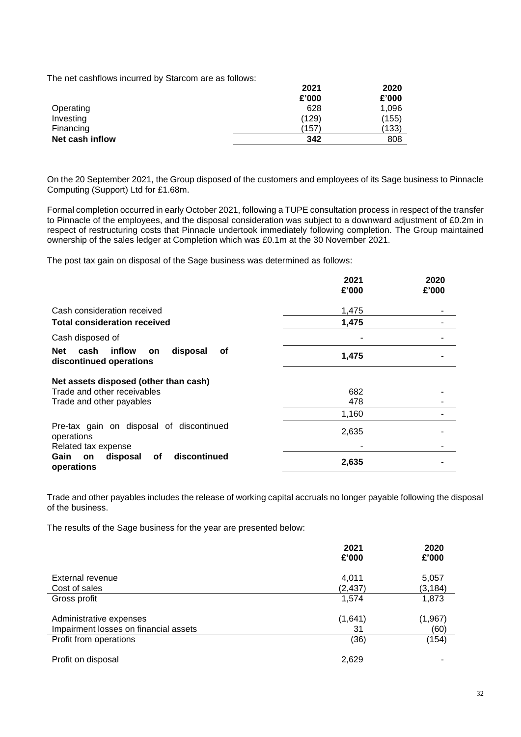The net cashflows incurred by Starcom are as follows:

| TIC TICL CASHIIOWS INCONCOLDY ORTIGONIT AND AS TONOWS. | 2021<br>£'000 | 2020<br>£'000 |
|--------------------------------------------------------|---------------|---------------|
| Operating                                              | 628           | 1,096         |
| Investing                                              | (129)         | (155)         |
| Financing                                              | (157)         | (133)         |
| Net cash inflow                                        | 342           | 808           |

On the 20 September 2021, the Group disposed of the customers and employees of its Sage business to Pinnacle Computing (Support) Ltd for £1.68m.

Formal completion occurred in early October 2021, following a TUPE consultation process in respect of the transfer to Pinnacle of the employees, and the disposal consideration was subject to a downward adjustment of £0.2m in respect of restructuring costs that Pinnacle undertook immediately following completion. The Group maintained ownership of the sales ledger at Completion which was £0.1m at the 30 November 2021.

The post tax gain on disposal of the Sage business was determined as follows:

|                                                                          | 2021<br>£'000 | 2020<br>£'000 |
|--------------------------------------------------------------------------|---------------|---------------|
| Cash consideration received                                              | 1,475         |               |
| <b>Total consideration received</b>                                      | 1,475         |               |
| Cash disposed of                                                         |               |               |
| inflow<br>disposal<br>Net<br>cash<br>Οf<br>on<br>discontinued operations | 1,475         |               |
| Net assets disposed (other than cash)                                    |               |               |
| Trade and other receivables                                              | 682           |               |
| Trade and other payables                                                 | 478           |               |
|                                                                          | 1,160         |               |
| Pre-tax gain on disposal of discontinued<br>operations                   | 2,635         |               |
| Related tax expense                                                      |               |               |
| discontinued<br>Gain<br>оf<br>disposal<br>on<br>operations               | 2,635         |               |

Trade and other payables includes the release of working capital accruals no longer payable following the disposal of the business.

The results of the Sage business for the year are presented below:

|                                       | 2021<br>£'000 | 2020<br>£'000 |
|---------------------------------------|---------------|---------------|
| External revenue                      | 4,011         | 5,057         |
| Cost of sales                         | (2, 437)      | (3, 184)      |
| Gross profit                          | 1,574         | 1,873         |
| Administrative expenses               | (1,641)       | (1, 967)      |
| Impairment losses on financial assets | 31            | (60)          |
| Profit from operations                | (36)          | (154)         |
| Profit on disposal                    | 2,629         |               |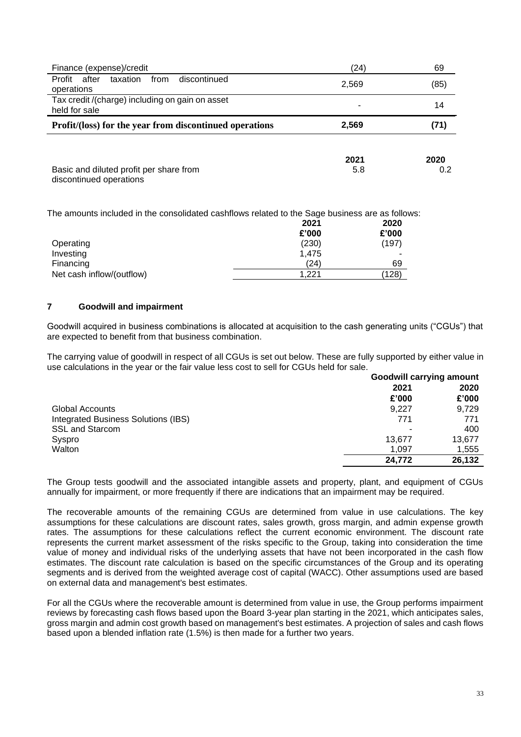| Finance (expense)/credit                                           | (24)        | 69          |
|--------------------------------------------------------------------|-------------|-------------|
| after<br>taxation<br>from<br>discontinued<br>Profit<br>operations  | 2,569       | (85)        |
| Tax credit /(charge) including on gain on asset<br>held for sale   |             | 14          |
| Profit/(loss) for the year from discontinued operations            | 2,569       |             |
| Basic and diluted profit per share from<br>discontinued operations | 2021<br>5.8 | 2020<br>0.2 |

The amounts included in the consolidated cashflows related to the Sage business are as follows: **2021 2020**

|                           | LVL I | LULU  |
|---------------------------|-------|-------|
|                           | £'000 | £'000 |
| Operating                 | (230) | (197) |
| Investing                 | 1.475 |       |
| Financing                 | (24)  | 69    |
| Net cash inflow/(outflow) | 1.221 | (128) |

# **7 Goodwill and impairment**

Goodwill acquired in business combinations is allocated at acquisition to the cash generating units ("CGUs") that are expected to benefit from that business combination.

The carrying value of goodwill in respect of all CGUs is set out below. These are fully supported by either value in use calculations in the year or the fair value less cost to sell for CGUs held for sale.

|                                     | <b>Goodwill carrying amount</b> |        |
|-------------------------------------|---------------------------------|--------|
|                                     | 2021                            | 2020   |
|                                     | £'000                           | £'000  |
| Global Accounts                     | 9.227                           | 9,729  |
| Integrated Business Solutions (IBS) | 771                             | 771    |
| <b>SSL and Starcom</b>              | ٠                               | 400    |
| Syspro                              | 13.677                          | 13,677 |
| Walton                              | 1.097                           | 1,555  |
|                                     | 24.772                          | 26,132 |

The Group tests goodwill and the associated intangible assets and property, plant, and equipment of CGUs annually for impairment, or more frequently if there are indications that an impairment may be required.

The recoverable amounts of the remaining CGUs are determined from value in use calculations. The key assumptions for these calculations are discount rates, sales growth, gross margin, and admin expense growth rates. The assumptions for these calculations reflect the current economic environment. The discount rate represents the current market assessment of the risks specific to the Group, taking into consideration the time value of money and individual risks of the underlying assets that have not been incorporated in the cash flow estimates. The discount rate calculation is based on the specific circumstances of the Group and its operating segments and is derived from the weighted average cost of capital (WACC). Other assumptions used are based on external data and management's best estimates.

For all the CGUs where the recoverable amount is determined from value in use, the Group performs impairment reviews by forecasting cash flows based upon the Board 3-year plan starting in the 2021, which anticipates sales, gross margin and admin cost growth based on management's best estimates. A projection of sales and cash flows based upon a blended inflation rate (1.5%) is then made for a further two years.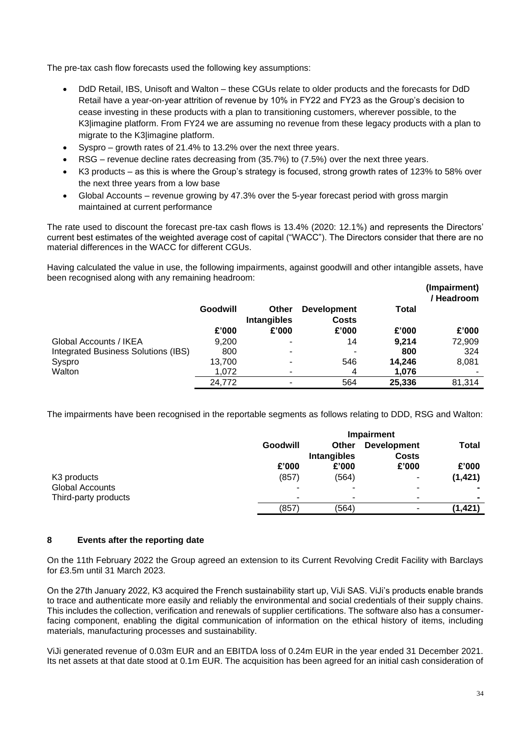The pre-tax cash flow forecasts used the following key assumptions:

- DdD Retail, IBS, Unisoft and Walton these CGUs relate to older products and the forecasts for DdD Retail have a year-on-year attrition of revenue by 10% in FY22 and FY23 as the Group's decision to cease investing in these products with a plan to transitioning customers, wherever possible, to the K3|imagine platform. From FY24 we are assuming no revenue from these legacy products with a plan to migrate to the K3|imagine platform.
- Syspro growth rates of 21.4% to 13.2% over the next three years.
- RSG revenue decline rates decreasing from (35.7%) to (7.5%) over the next three years.
- K3 products as this is where the Group's strategy is focused, strong growth rates of 123% to 58% over the next three years from a low base
- Global Accounts revenue growing by 47.3% over the 5-year forecast period with gross margin maintained at current performance

The rate used to discount the forecast pre-tax cash flows is 13.4% (2020: 12.1%) and represents the Directors' current best estimates of the weighted average cost of capital ("WACC"). The Directors consider that there are no material differences in the WACC for different CGUs.

Having calculated the value in use, the following impairments, against goodwill and other intangible assets, have been recognised along with any remaining headroom:

|                                     |                 |                             |                                    |        | (Impairment)<br>/ Headroom |
|-------------------------------------|-----------------|-----------------------------|------------------------------------|--------|----------------------------|
|                                     | <b>Goodwill</b> | Other<br><b>Intangibles</b> | <b>Development</b><br><b>Costs</b> | Total  |                            |
|                                     | £'000           | £'000                       | £'000                              | £'000  | £'000                      |
| Global Accounts / IKEA              | 9.200           |                             | 14                                 | 9.214  | 72,909                     |
| Integrated Business Solutions (IBS) | 800             |                             |                                    | 800    | 324                        |
| Syspro                              | 13,700          | -                           | 546                                | 14.246 | 8,081                      |
| Walton                              | 1.072           |                             | 4                                  | 1,076  |                            |
|                                     | 24,772          |                             | 564                                | 25,336 | 81,314                     |

The impairments have been recognised in the reportable segments as follows relating to DDD, RSG and Walton:

|                         | Impairment               |                                    |                                    |                |
|-------------------------|--------------------------|------------------------------------|------------------------------------|----------------|
|                         | Goodwill                 | <b>Other</b><br><b>Intangibles</b> | <b>Development</b><br><b>Costs</b> | <b>Total</b>   |
|                         | £'000                    | £'000                              | £'000                              | £'000          |
| K <sub>3</sub> products | (857)                    | (564)                              | ۰                                  | (1, 421)       |
| Global Accounts         | ٠                        | ٠                                  | ۰                                  |                |
| Third-party products    | $\overline{\phantom{0}}$ | ۰                                  | ۰                                  | $\blacksquare$ |
|                         | (857                     | (564)                              | ۰                                  | (1, 421)       |

# **8 Events after the reporting date**

On the 11th February 2022 the Group agreed an extension to its Current Revolving Credit Facility with Barclays for £3.5m until 31 March 2023.

On the 27th January 2022, K3 acquired the French sustainability start up, ViJi SAS. ViJi's products enable brands to trace and authenticate more easily and reliably the environmental and social credentials of their supply chains. This includes the collection, verification and renewals of supplier certifications. The software also has a consumerfacing component, enabling the digital communication of information on the ethical history of items, including materials, manufacturing processes and sustainability.

ViJi generated revenue of 0.03m EUR and an EBITDA loss of 0.24m EUR in the year ended 31 December 2021. Its net assets at that date stood at 0.1m EUR. The acquisition has been agreed for an initial cash consideration of